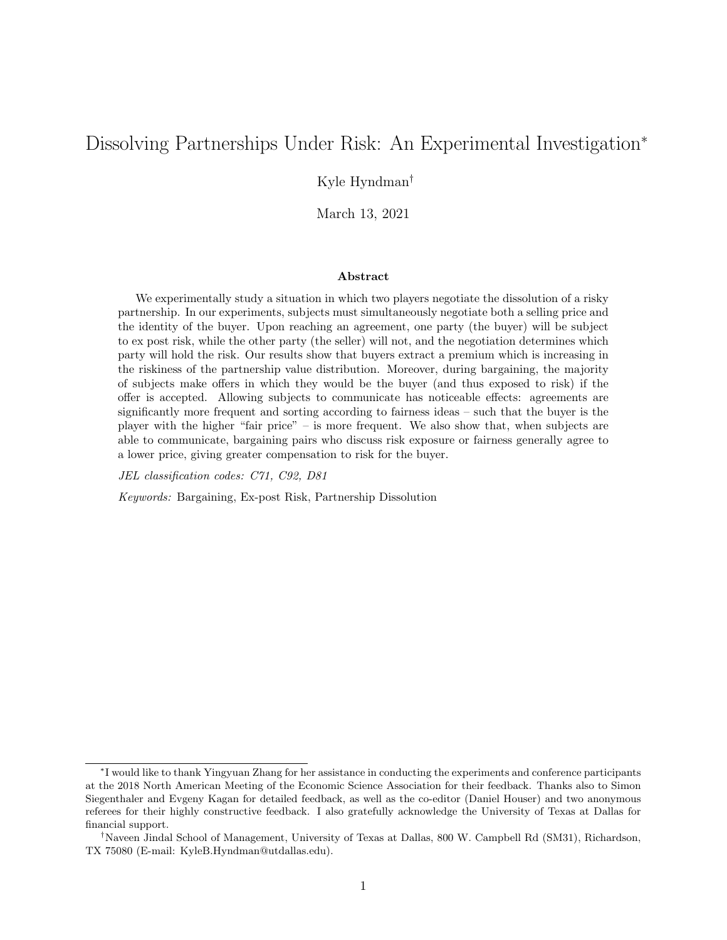# Dissolving Partnerships Under Risk: An Experimental Investigation<sup>∗</sup>

Kyle Hyndman†

March 13, 2021

### Abstract

We experimentally study a situation in which two players negotiate the dissolution of a risky partnership. In our experiments, subjects must simultaneously negotiate both a selling price and the identity of the buyer. Upon reaching an agreement, one party (the buyer) will be subject to ex post risk, while the other party (the seller) will not, and the negotiation determines which party will hold the risk. Our results show that buyers extract a premium which is increasing in the riskiness of the partnership value distribution. Moreover, during bargaining, the majority of subjects make offers in which they would be the buyer (and thus exposed to risk) if the offer is accepted. Allowing subjects to communicate has noticeable effects: agreements are significantly more frequent and sorting according to fairness ideas – such that the buyer is the player with the higher "fair price" – is more frequent. We also show that, when subjects are able to communicate, bargaining pairs who discuss risk exposure or fairness generally agree to a lower price, giving greater compensation to risk for the buyer.

JEL classification codes: C71, C92, D81

Keywords: Bargaining, Ex-post Risk, Partnership Dissolution

<sup>∗</sup> I would like to thank Yingyuan Zhang for her assistance in conducting the experiments and conference participants at the 2018 North American Meeting of the Economic Science Association for their feedback. Thanks also to Simon Siegenthaler and Evgeny Kagan for detailed feedback, as well as the co-editor (Daniel Houser) and two anonymous referees for their highly constructive feedback. I also gratefully acknowledge the University of Texas at Dallas for financial support.

<sup>†</sup>Naveen Jindal School of Management, University of Texas at Dallas, 800 W. Campbell Rd (SM31), Richardson, TX 75080 (E-mail: KyleB.Hyndman@utdallas.edu).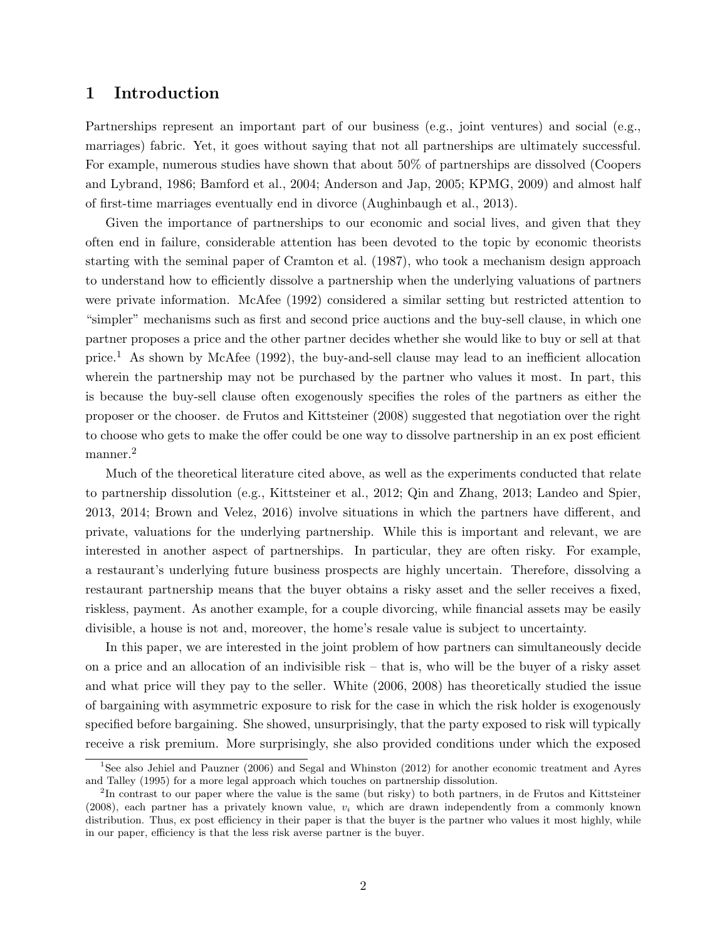# 1 Introduction

Partnerships represent an important part of our business (e.g., joint ventures) and social (e.g., marriages) fabric. Yet, it goes without saying that not all partnerships are ultimately successful. For example, numerous studies have shown that about 50% of partnerships are dissolved (Coopers and Lybrand, 1986; Bamford et al., 2004; Anderson and Jap, 2005; KPMG, 2009) and almost half of first-time marriages eventually end in divorce (Aughinbaugh et al., 2013).

Given the importance of partnerships to our economic and social lives, and given that they often end in failure, considerable attention has been devoted to the topic by economic theorists starting with the seminal paper of Cramton et al. (1987), who took a mechanism design approach to understand how to efficiently dissolve a partnership when the underlying valuations of partners were private information. McAfee (1992) considered a similar setting but restricted attention to "simpler" mechanisms such as first and second price auctions and the buy-sell clause, in which one partner proposes a price and the other partner decides whether she would like to buy or sell at that price.<sup>1</sup> As shown by McAfee (1992), the buy-and-sell clause may lead to an inefficient allocation wherein the partnership may not be purchased by the partner who values it most. In part, this is because the buy-sell clause often exogenously specifies the roles of the partners as either the proposer or the chooser. de Frutos and Kittsteiner (2008) suggested that negotiation over the right to choose who gets to make the offer could be one way to dissolve partnership in an ex post efficient manner.<sup>2</sup>

Much of the theoretical literature cited above, as well as the experiments conducted that relate to partnership dissolution (e.g., Kittsteiner et al., 2012; Qin and Zhang, 2013; Landeo and Spier, 2013, 2014; Brown and Velez, 2016) involve situations in which the partners have different, and private, valuations for the underlying partnership. While this is important and relevant, we are interested in another aspect of partnerships. In particular, they are often risky. For example, a restaurant's underlying future business prospects are highly uncertain. Therefore, dissolving a restaurant partnership means that the buyer obtains a risky asset and the seller receives a fixed, riskless, payment. As another example, for a couple divorcing, while financial assets may be easily divisible, a house is not and, moreover, the home's resale value is subject to uncertainty.

In this paper, we are interested in the joint problem of how partners can simultaneously decide on a price and an allocation of an indivisible risk – that is, who will be the buyer of a risky asset and what price will they pay to the seller. White (2006, 2008) has theoretically studied the issue of bargaining with asymmetric exposure to risk for the case in which the risk holder is exogenously specified before bargaining. She showed, unsurprisingly, that the party exposed to risk will typically receive a risk premium. More surprisingly, she also provided conditions under which the exposed

<sup>1</sup>See also Jehiel and Pauzner (2006) and Segal and Whinston (2012) for another economic treatment and Ayres and Talley (1995) for a more legal approach which touches on partnership dissolution.

<sup>&</sup>lt;sup>2</sup>In contrast to our paper where the value is the same (but risky) to both partners, in de Frutos and Kittsteiner  $(2008)$ , each partner has a privately known value,  $v_i$  which are drawn independently from a commonly known distribution. Thus, ex post efficiency in their paper is that the buyer is the partner who values it most highly, while in our paper, efficiency is that the less risk averse partner is the buyer.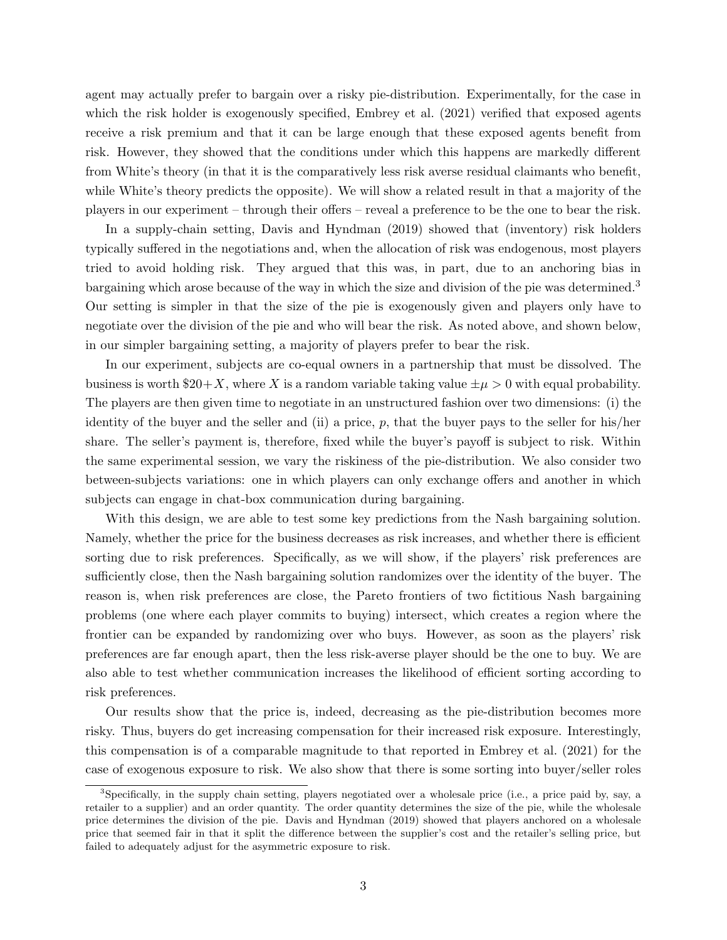agent may actually prefer to bargain over a risky pie-distribution. Experimentally, for the case in which the risk holder is exogenously specified, Embrey et al. (2021) verified that exposed agents receive a risk premium and that it can be large enough that these exposed agents benefit from risk. However, they showed that the conditions under which this happens are markedly different from White's theory (in that it is the comparatively less risk averse residual claimants who benefit, while White's theory predicts the opposite). We will show a related result in that a majority of the players in our experiment – through their offers – reveal a preference to be the one to bear the risk.

In a supply-chain setting, Davis and Hyndman (2019) showed that (inventory) risk holders typically suffered in the negotiations and, when the allocation of risk was endogenous, most players tried to avoid holding risk. They argued that this was, in part, due to an anchoring bias in bargaining which arose because of the way in which the size and division of the pie was determined.<sup>3</sup> Our setting is simpler in that the size of the pie is exogenously given and players only have to negotiate over the division of the pie and who will bear the risk. As noted above, and shown below, in our simpler bargaining setting, a majority of players prefer to bear the risk.

In our experiment, subjects are co-equal owners in a partnership that must be dissolved. The business is worth  $20+X$ , where X is a random variable taking value  $\pm \mu > 0$  with equal probability. The players are then given time to negotiate in an unstructured fashion over two dimensions: (i) the identity of the buyer and the seller and (ii) a price,  $p$ , that the buyer pays to the seller for his/her share. The seller's payment is, therefore, fixed while the buyer's payoff is subject to risk. Within the same experimental session, we vary the riskiness of the pie-distribution. We also consider two between-subjects variations: one in which players can only exchange offers and another in which subjects can engage in chat-box communication during bargaining.

With this design, we are able to test some key predictions from the Nash bargaining solution. Namely, whether the price for the business decreases as risk increases, and whether there is efficient sorting due to risk preferences. Specifically, as we will show, if the players' risk preferences are sufficiently close, then the Nash bargaining solution randomizes over the identity of the buyer. The reason is, when risk preferences are close, the Pareto frontiers of two fictitious Nash bargaining problems (one where each player commits to buying) intersect, which creates a region where the frontier can be expanded by randomizing over who buys. However, as soon as the players' risk preferences are far enough apart, then the less risk-averse player should be the one to buy. We are also able to test whether communication increases the likelihood of efficient sorting according to risk preferences.

Our results show that the price is, indeed, decreasing as the pie-distribution becomes more risky. Thus, buyers do get increasing compensation for their increased risk exposure. Interestingly, this compensation is of a comparable magnitude to that reported in Embrey et al. (2021) for the case of exogenous exposure to risk. We also show that there is some sorting into buyer/seller roles

<sup>3</sup>Specifically, in the supply chain setting, players negotiated over a wholesale price (i.e., a price paid by, say, a retailer to a supplier) and an order quantity. The order quantity determines the size of the pie, while the wholesale price determines the division of the pie. Davis and Hyndman (2019) showed that players anchored on a wholesale price that seemed fair in that it split the difference between the supplier's cost and the retailer's selling price, but failed to adequately adjust for the asymmetric exposure to risk.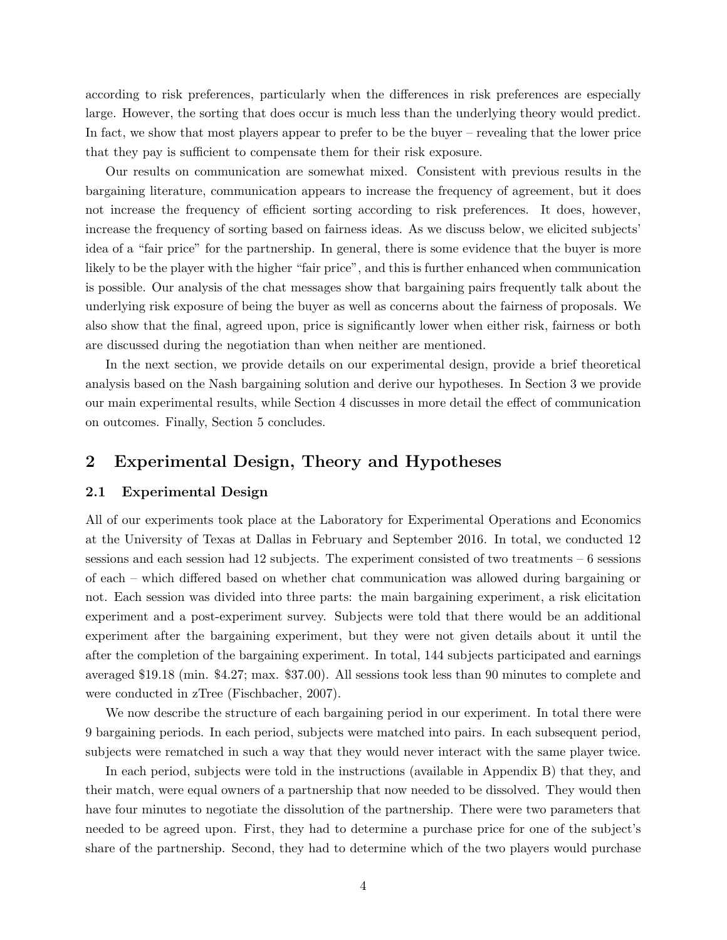according to risk preferences, particularly when the differences in risk preferences are especially large. However, the sorting that does occur is much less than the underlying theory would predict. In fact, we show that most players appear to prefer to be the buyer – revealing that the lower price that they pay is sufficient to compensate them for their risk exposure.

Our results on communication are somewhat mixed. Consistent with previous results in the bargaining literature, communication appears to increase the frequency of agreement, but it does not increase the frequency of efficient sorting according to risk preferences. It does, however, increase the frequency of sorting based on fairness ideas. As we discuss below, we elicited subjects' idea of a "fair price" for the partnership. In general, there is some evidence that the buyer is more likely to be the player with the higher "fair price", and this is further enhanced when communication is possible. Our analysis of the chat messages show that bargaining pairs frequently talk about the underlying risk exposure of being the buyer as well as concerns about the fairness of proposals. We also show that the final, agreed upon, price is significantly lower when either risk, fairness or both are discussed during the negotiation than when neither are mentioned.

In the next section, we provide details on our experimental design, provide a brief theoretical analysis based on the Nash bargaining solution and derive our hypotheses. In Section 3 we provide our main experimental results, while Section 4 discusses in more detail the effect of communication on outcomes. Finally, Section 5 concludes.

# 2 Experimental Design, Theory and Hypotheses

### 2.1 Experimental Design

All of our experiments took place at the Laboratory for Experimental Operations and Economics at the University of Texas at Dallas in February and September 2016. In total, we conducted 12 sessions and each session had 12 subjects. The experiment consisted of two treatments  $-6$  sessions of each – which differed based on whether chat communication was allowed during bargaining or not. Each session was divided into three parts: the main bargaining experiment, a risk elicitation experiment and a post-experiment survey. Subjects were told that there would be an additional experiment after the bargaining experiment, but they were not given details about it until the after the completion of the bargaining experiment. In total, 144 subjects participated and earnings averaged \$19.18 (min. \$4.27; max. \$37.00). All sessions took less than 90 minutes to complete and were conducted in zTree (Fischbacher, 2007).

We now describe the structure of each bargaining period in our experiment. In total there were 9 bargaining periods. In each period, subjects were matched into pairs. In each subsequent period, subjects were rematched in such a way that they would never interact with the same player twice.

In each period, subjects were told in the instructions (available in Appendix B) that they, and their match, were equal owners of a partnership that now needed to be dissolved. They would then have four minutes to negotiate the dissolution of the partnership. There were two parameters that needed to be agreed upon. First, they had to determine a purchase price for one of the subject's share of the partnership. Second, they had to determine which of the two players would purchase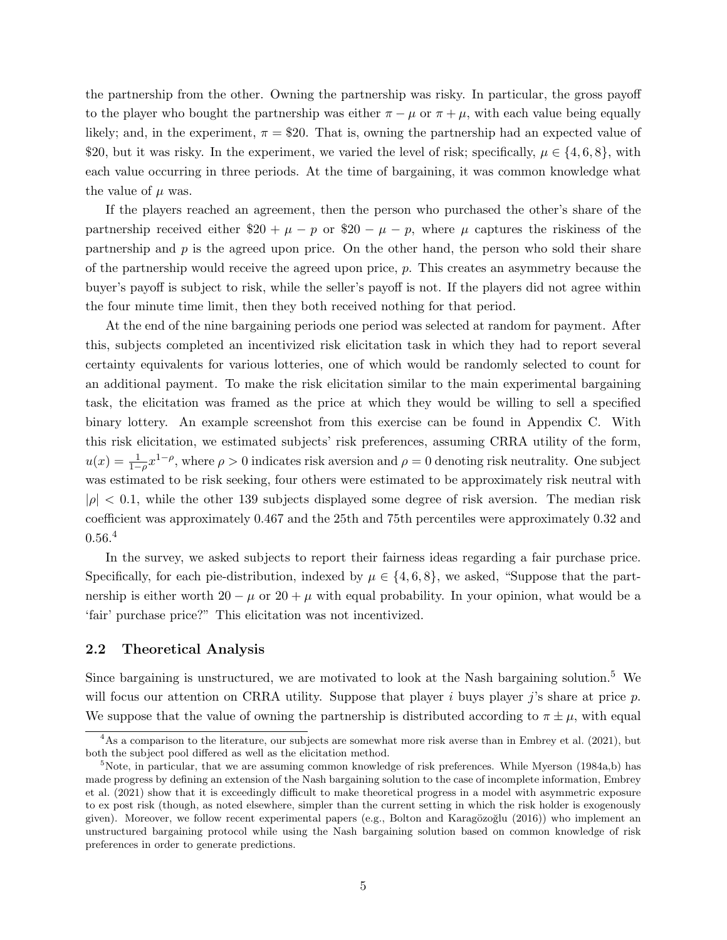the partnership from the other. Owning the partnership was risky. In particular, the gross payoff to the player who bought the partnership was either  $\pi - \mu$  or  $\pi + \mu$ , with each value being equally likely; and, in the experiment,  $\pi = $20$ . That is, owning the partnership had an expected value of \$20, but it was risky. In the experiment, we varied the level of risk; specifically,  $\mu \in \{4, 6, 8\}$ , with each value occurring in three periods. At the time of bargaining, it was common knowledge what the value of  $\mu$  was.

If the players reached an agreement, then the person who purchased the other's share of the partnership received either  $20 + \mu - p$  or  $20 - \mu - p$ , where  $\mu$  captures the riskiness of the partnership and  $p$  is the agreed upon price. On the other hand, the person who sold their share of the partnership would receive the agreed upon price, p. This creates an asymmetry because the buyer's payoff is subject to risk, while the seller's payoff is not. If the players did not agree within the four minute time limit, then they both received nothing for that period.

At the end of the nine bargaining periods one period was selected at random for payment. After this, subjects completed an incentivized risk elicitation task in which they had to report several certainty equivalents for various lotteries, one of which would be randomly selected to count for an additional payment. To make the risk elicitation similar to the main experimental bargaining task, the elicitation was framed as the price at which they would be willing to sell a specified binary lottery. An example screenshot from this exercise can be found in Appendix C. With this risk elicitation, we estimated subjects' risk preferences, assuming CRRA utility of the form,  $u(x) = \frac{1}{1-\rho}x^{1-\rho}$ , where  $\rho > 0$  indicates risk aversion and  $\rho = 0$  denoting risk neutrality. One subject was estimated to be risk seeking, four others were estimated to be approximately risk neutral with  $|\rho| < 0.1$ , while the other 139 subjects displayed some degree of risk aversion. The median risk coefficient was approximately 0.467 and the 25th and 75th percentiles were approximately 0.32 and  $0.56^{4}$ 

In the survey, we asked subjects to report their fairness ideas regarding a fair purchase price. Specifically, for each pie-distribution, indexed by  $\mu \in \{4, 6, 8\}$ , we asked, "Suppose that the partnership is either worth  $20 - \mu$  or  $20 + \mu$  with equal probability. In your opinion, what would be a 'fair' purchase price?" This elicitation was not incentivized.

### 2.2 Theoretical Analysis

Since bargaining is unstructured, we are motivated to look at the Nash bargaining solution.<sup>5</sup> We will focus our attention on CRRA utility. Suppose that player i buys player j's share at price  $p$ . We suppose that the value of owning the partnership is distributed according to  $\pi \pm \mu$ , with equal

<sup>&</sup>lt;sup>4</sup>As a comparison to the literature, our subjects are somewhat more risk averse than in Embrey et al. (2021), but both the subject pool differed as well as the elicitation method.

<sup>&</sup>lt;sup>5</sup>Note, in particular, that we are assuming common knowledge of risk preferences. While Myerson (1984a,b) has made progress by defining an extension of the Nash bargaining solution to the case of incomplete information, Embrey et al. (2021) show that it is exceedingly difficult to make theoretical progress in a model with asymmetric exposure to ex post risk (though, as noted elsewhere, simpler than the current setting in which the risk holder is exogenously given). Moreover, we follow recent experimental papers (e.g., Bolton and Karagözoğlu  $(2016)$ ) who implement an unstructured bargaining protocol while using the Nash bargaining solution based on common knowledge of risk preferences in order to generate predictions.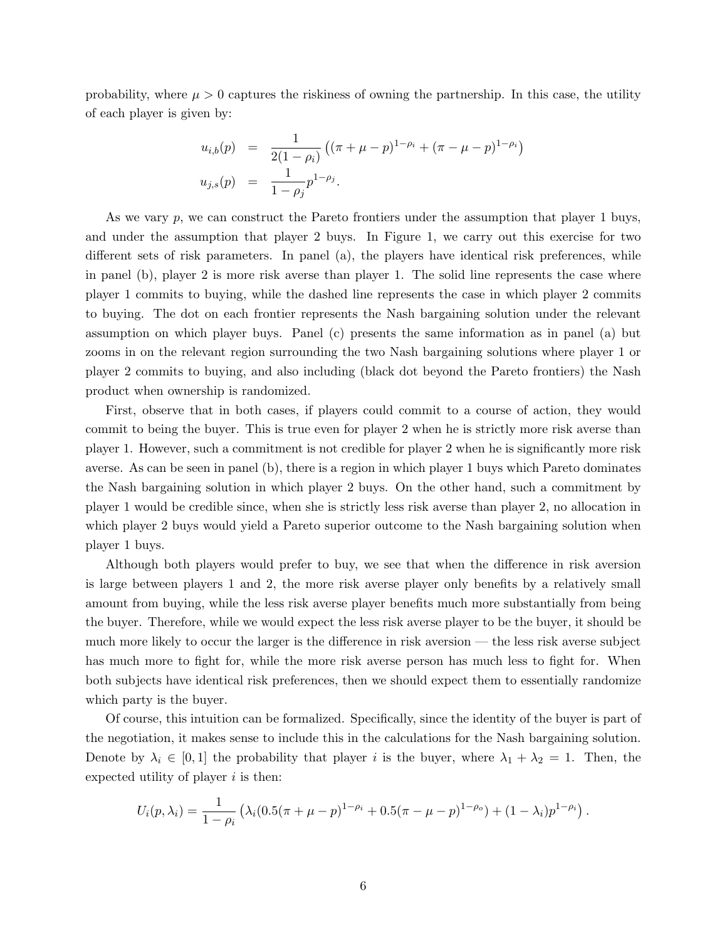probability, where  $\mu > 0$  captures the riskiness of owning the partnership. In this case, the utility of each player is given by:

$$
u_{i,b}(p) = \frac{1}{2(1-\rho_i)} ((\pi + \mu - p)^{1-\rho_i} + (\pi - \mu - p)^{1-\rho_i})
$$
  

$$
u_{j,s}(p) = \frac{1}{1-\rho_j} p^{1-\rho_j}.
$$

As we vary p, we can construct the Pareto frontiers under the assumption that player 1 buys, and under the assumption that player 2 buys. In Figure 1, we carry out this exercise for two different sets of risk parameters. In panel (a), the players have identical risk preferences, while in panel (b), player 2 is more risk averse than player 1. The solid line represents the case where player 1 commits to buying, while the dashed line represents the case in which player 2 commits to buying. The dot on each frontier represents the Nash bargaining solution under the relevant assumption on which player buys. Panel (c) presents the same information as in panel (a) but zooms in on the relevant region surrounding the two Nash bargaining solutions where player 1 or player 2 commits to buying, and also including (black dot beyond the Pareto frontiers) the Nash product when ownership is randomized.

First, observe that in both cases, if players could commit to a course of action, they would commit to being the buyer. This is true even for player 2 when he is strictly more risk averse than player 1. However, such a commitment is not credible for player 2 when he is significantly more risk averse. As can be seen in panel (b), there is a region in which player 1 buys which Pareto dominates the Nash bargaining solution in which player 2 buys. On the other hand, such a commitment by player 1 would be credible since, when she is strictly less risk averse than player 2, no allocation in which player 2 buys would yield a Pareto superior outcome to the Nash bargaining solution when player 1 buys.

Although both players would prefer to buy, we see that when the difference in risk aversion is large between players 1 and 2, the more risk averse player only benefits by a relatively small amount from buying, while the less risk averse player benefits much more substantially from being the buyer. Therefore, while we would expect the less risk averse player to be the buyer, it should be much more likely to occur the larger is the difference in risk aversion — the less risk averse subject has much more to fight for, while the more risk averse person has much less to fight for. When both subjects have identical risk preferences, then we should expect them to essentially randomize which party is the buyer.

Of course, this intuition can be formalized. Specifically, since the identity of the buyer is part of the negotiation, it makes sense to include this in the calculations for the Nash bargaining solution. Denote by  $\lambda_i \in [0,1]$  the probability that player i is the buyer, where  $\lambda_1 + \lambda_2 = 1$ . Then, the expected utility of player  $i$  is then:

$$
U_i(p,\lambda_i) = \frac{1}{1-\rho_i} \left( \lambda_i (0.5(\pi+\mu-p)^{1-\rho_i} + 0.5(\pi-\mu-p)^{1-\rho_o}) + (1-\lambda_i)p^{1-\rho_i} \right).
$$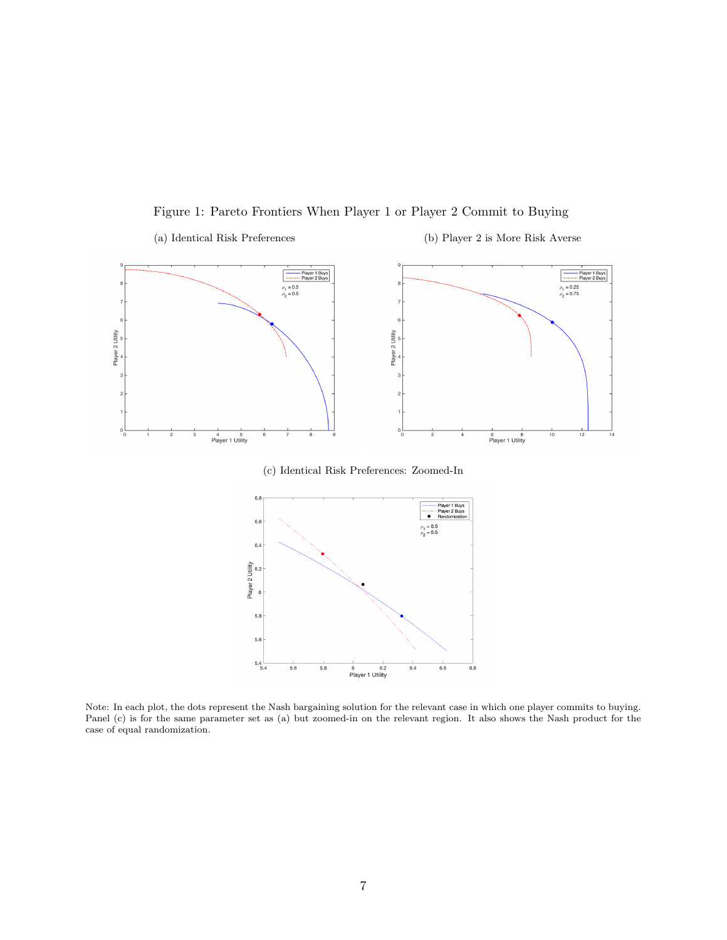Figure 1: Pareto Frontiers When Player 1 or Player 2 Commit to Buying







Note: In each plot, the dots represent the Nash bargaining solution for the relevant case in which one player commits to buying. Panel (c) is for the same parameter set as (a) but zoomed-in on the relevant region. It also shows the Nash product for the case of equal randomization.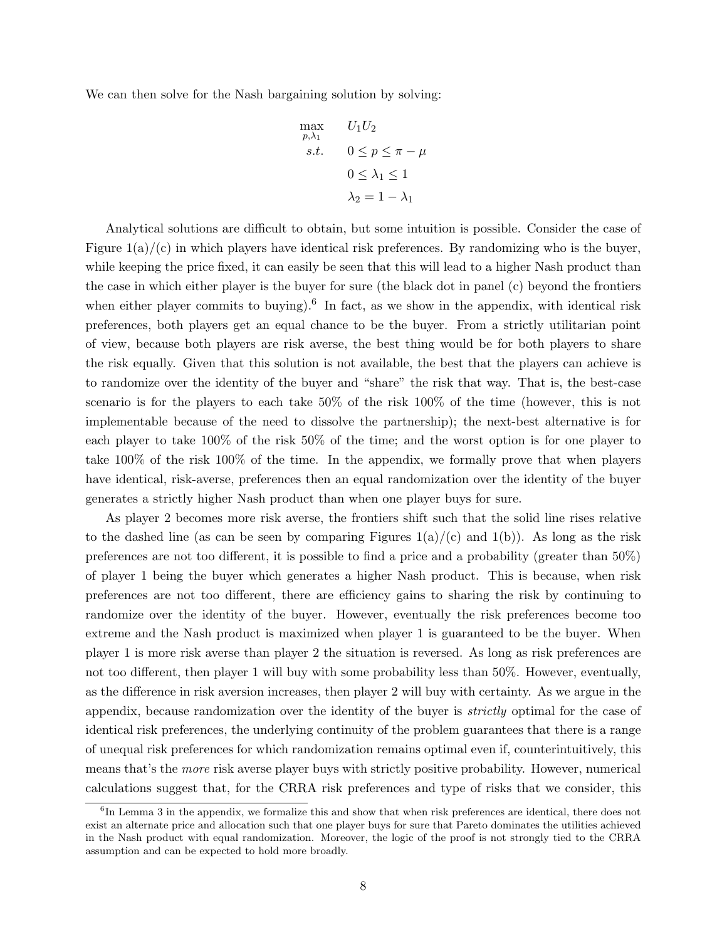We can then solve for the Nash bargaining solution by solving:

$$
\max_{p,\lambda_1} U_1 U_2
$$
  
s.t. 
$$
0 \le p \le \pi - \mu
$$
  

$$
0 \le \lambda_1 \le 1
$$
  

$$
\lambda_2 = 1 - \lambda_1
$$

Analytical solutions are difficult to obtain, but some intuition is possible. Consider the case of Figure  $1(a)/(c)$  in which players have identical risk preferences. By randomizing who is the buyer, while keeping the price fixed, it can easily be seen that this will lead to a higher Nash product than the case in which either player is the buyer for sure (the black dot in panel (c) beyond the frontiers when either player commits to buying).<sup>6</sup> In fact, as we show in the appendix, with identical risk preferences, both players get an equal chance to be the buyer. From a strictly utilitarian point of view, because both players are risk averse, the best thing would be for both players to share the risk equally. Given that this solution is not available, the best that the players can achieve is to randomize over the identity of the buyer and "share" the risk that way. That is, the best-case scenario is for the players to each take 50% of the risk 100% of the time (however, this is not implementable because of the need to dissolve the partnership); the next-best alternative is for each player to take 100% of the risk 50% of the time; and the worst option is for one player to take 100% of the risk 100% of the time. In the appendix, we formally prove that when players have identical, risk-averse, preferences then an equal randomization over the identity of the buyer generates a strictly higher Nash product than when one player buys for sure.

As player 2 becomes more risk averse, the frontiers shift such that the solid line rises relative to the dashed line (as can be seen by comparing Figures  $1(a)/(c)$  and  $1(b)$ ). As long as the risk preferences are not too different, it is possible to find a price and a probability (greater than 50%) of player 1 being the buyer which generates a higher Nash product. This is because, when risk preferences are not too different, there are efficiency gains to sharing the risk by continuing to randomize over the identity of the buyer. However, eventually the risk preferences become too extreme and the Nash product is maximized when player 1 is guaranteed to be the buyer. When player 1 is more risk averse than player 2 the situation is reversed. As long as risk preferences are not too different, then player 1 will buy with some probability less than 50%. However, eventually, as the difference in risk aversion increases, then player 2 will buy with certainty. As we argue in the appendix, because randomization over the identity of the buyer is *strictly* optimal for the case of identical risk preferences, the underlying continuity of the problem guarantees that there is a range of unequal risk preferences for which randomization remains optimal even if, counterintuitively, this means that's the more risk averse player buys with strictly positive probability. However, numerical calculations suggest that, for the CRRA risk preferences and type of risks that we consider, this

<sup>&</sup>lt;sup>6</sup>In Lemma 3 in the appendix, we formalize this and show that when risk preferences are identical, there does not exist an alternate price and allocation such that one player buys for sure that Pareto dominates the utilities achieved in the Nash product with equal randomization. Moreover, the logic of the proof is not strongly tied to the CRRA assumption and can be expected to hold more broadly.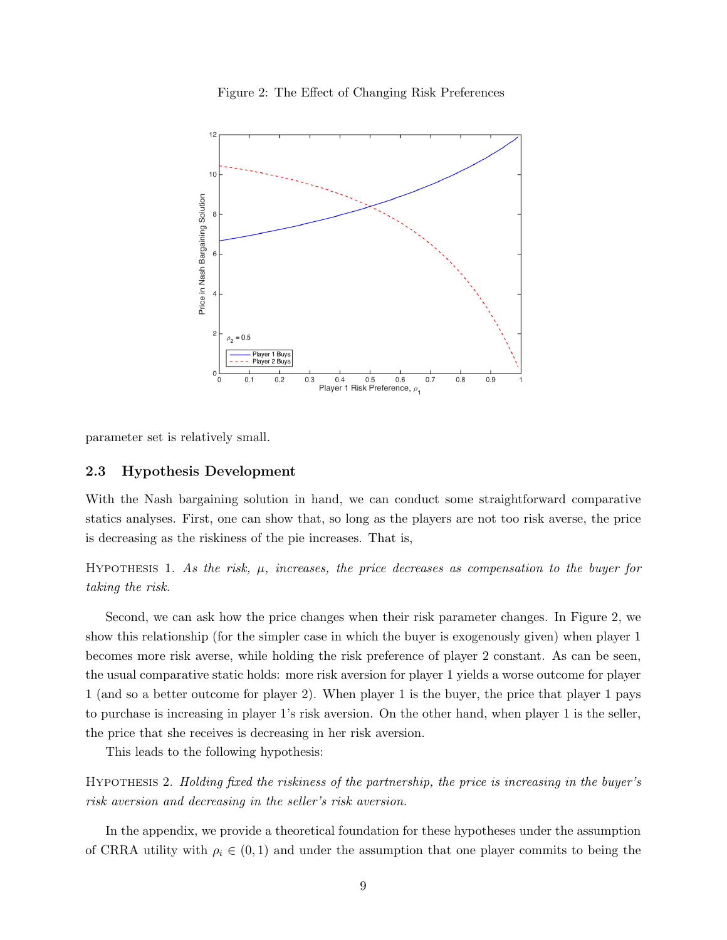



parameter set is relatively small.

### 2.3 Hypothesis Development

With the Nash bargaining solution in hand, we can conduct some straightforward comparative statics analyses. First, one can show that, so long as the players are not too risk averse, the price is decreasing as the riskiness of the pie increases. That is,

HYPOTHESIS 1. As the risk,  $\mu$ , increases, the price decreases as compensation to the buyer for taking the risk.

Second, we can ask how the price changes when their risk parameter changes. In Figure 2, we show this relationship (for the simpler case in which the buyer is exogenously given) when player 1 becomes more risk averse, while holding the risk preference of player 2 constant. As can be seen, the usual comparative static holds: more risk aversion for player 1 yields a worse outcome for player 1 (and so a better outcome for player 2). When player 1 is the buyer, the price that player 1 pays to purchase is increasing in player 1's risk aversion. On the other hand, when player 1 is the seller, the price that she receives is decreasing in her risk aversion.

This leads to the following hypothesis:

Hypothesis 2. Holding fixed the riskiness of the partnership, the price is increasing in the buyer's risk aversion and decreasing in the seller's risk aversion.

In the appendix, we provide a theoretical foundation for these hypotheses under the assumption of CRRA utility with  $\rho_i \in (0,1)$  and under the assumption that one player commits to being the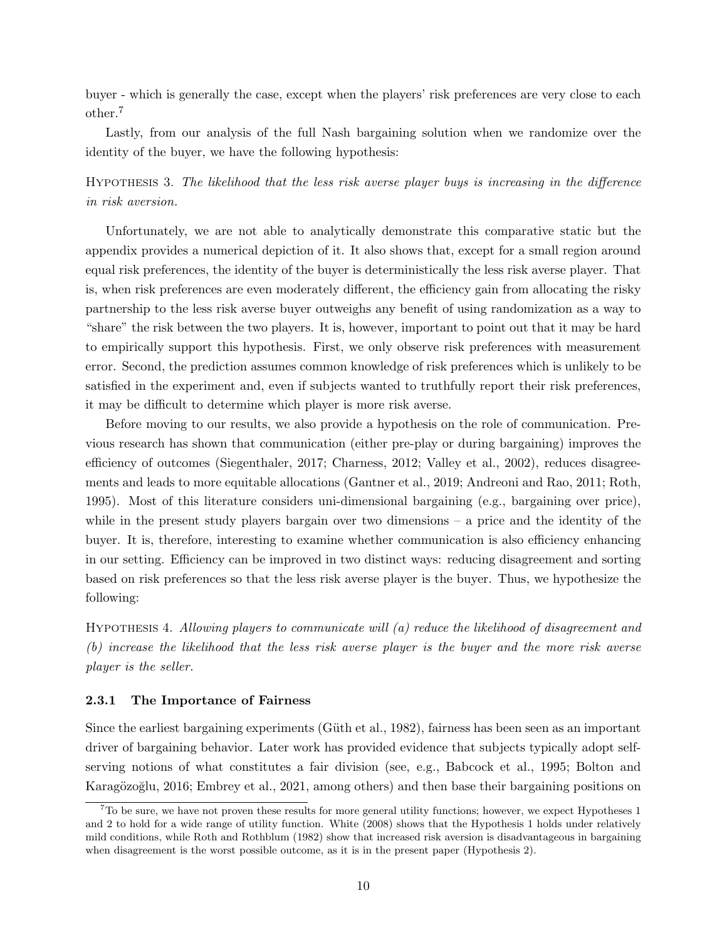buyer - which is generally the case, except when the players' risk preferences are very close to each other.<sup>7</sup>

Lastly, from our analysis of the full Nash bargaining solution when we randomize over the identity of the buyer, we have the following hypothesis:

Hypothesis 3. The likelihood that the less risk averse player buys is increasing in the difference in risk aversion.

Unfortunately, we are not able to analytically demonstrate this comparative static but the appendix provides a numerical depiction of it. It also shows that, except for a small region around equal risk preferences, the identity of the buyer is deterministically the less risk averse player. That is, when risk preferences are even moderately different, the efficiency gain from allocating the risky partnership to the less risk averse buyer outweighs any benefit of using randomization as a way to "share" the risk between the two players. It is, however, important to point out that it may be hard to empirically support this hypothesis. First, we only observe risk preferences with measurement error. Second, the prediction assumes common knowledge of risk preferences which is unlikely to be satisfied in the experiment and, even if subjects wanted to truthfully report their risk preferences, it may be difficult to determine which player is more risk averse.

Before moving to our results, we also provide a hypothesis on the role of communication. Previous research has shown that communication (either pre-play or during bargaining) improves the efficiency of outcomes (Siegenthaler, 2017; Charness, 2012; Valley et al., 2002), reduces disagreements and leads to more equitable allocations (Gantner et al., 2019; Andreoni and Rao, 2011; Roth, 1995). Most of this literature considers uni-dimensional bargaining (e.g., bargaining over price), while in the present study players bargain over two dimensions  $-$  a price and the identity of the buyer. It is, therefore, interesting to examine whether communication is also efficiency enhancing in our setting. Efficiency can be improved in two distinct ways: reducing disagreement and sorting based on risk preferences so that the less risk averse player is the buyer. Thus, we hypothesize the following:

Hypothesis 4. Allowing players to communicate will (a) reduce the likelihood of disagreement and (b) increase the likelihood that the less risk averse player is the buyer and the more risk averse player is the seller.

#### 2.3.1 The Importance of Fairness

Since the earliest bargaining experiments (Güth et al., 1982), fairness has been seen as an important driver of bargaining behavior. Later work has provided evidence that subjects typically adopt selfserving notions of what constitutes a fair division (see, e.g., Babcock et al., 1995; Bolton and Karagözoğlu, 2016; Embrey et al., 2021, among others) and then base their bargaining positions on

 $7T$ o be sure, we have not proven these results for more general utility functions; however, we expect Hypotheses 1 and 2 to hold for a wide range of utility function. White (2008) shows that the Hypothesis 1 holds under relatively mild conditions, while Roth and Rothblum (1982) show that increased risk aversion is disadvantageous in bargaining when disagreement is the worst possible outcome, as it is in the present paper (Hypothesis 2).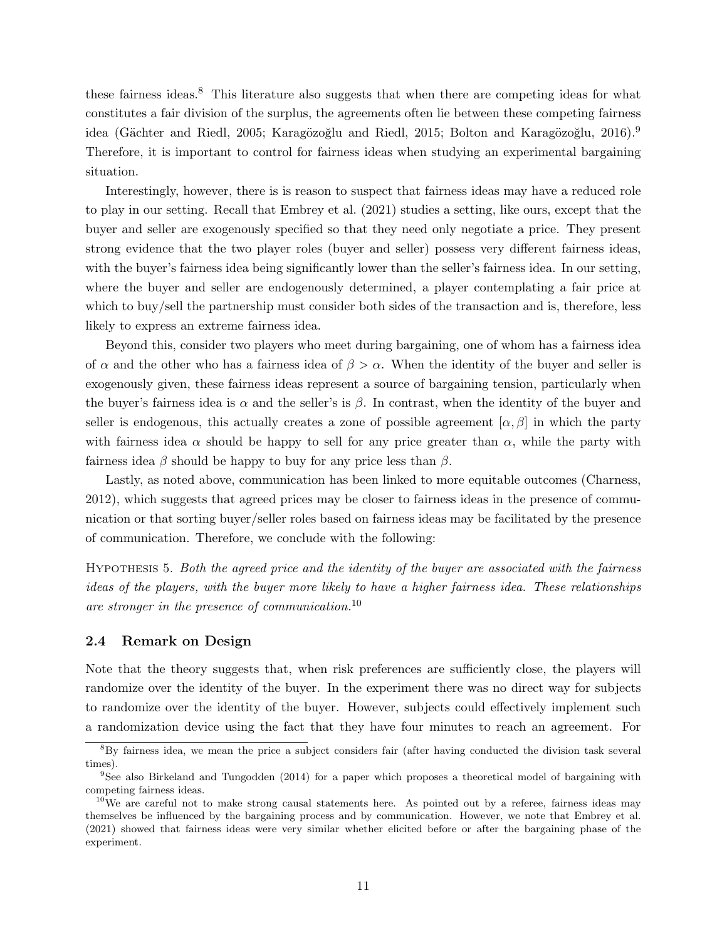these fairness ideas.<sup>8</sup> This literature also suggests that when there are competing ideas for what constitutes a fair division of the surplus, the agreements often lie between these competing fairness idea (Gächter and Riedl, 2005; Karagözoğlu and Riedl, 2015; Bolton and Karagözoğlu, 2016).<sup>9</sup> Therefore, it is important to control for fairness ideas when studying an experimental bargaining situation.

Interestingly, however, there is is reason to suspect that fairness ideas may have a reduced role to play in our setting. Recall that Embrey et al. (2021) studies a setting, like ours, except that the buyer and seller are exogenously specified so that they need only negotiate a price. They present strong evidence that the two player roles (buyer and seller) possess very different fairness ideas, with the buyer's fairness idea being significantly lower than the seller's fairness idea. In our setting, where the buyer and seller are endogenously determined, a player contemplating a fair price at which to buy/sell the partnership must consider both sides of the transaction and is, therefore, less likely to express an extreme fairness idea.

Beyond this, consider two players who meet during bargaining, one of whom has a fairness idea of  $\alpha$  and the other who has a fairness idea of  $\beta > \alpha$ . When the identity of the buyer and seller is exogenously given, these fairness ideas represent a source of bargaining tension, particularly when the buyer's fairness idea is  $\alpha$  and the seller's is  $\beta$ . In contrast, when the identity of the buyer and seller is endogenous, this actually creates a zone of possible agreement  $[\alpha, \beta]$  in which the party with fairness idea  $\alpha$  should be happy to sell for any price greater than  $\alpha$ , while the party with fairness idea  $\beta$  should be happy to buy for any price less than  $\beta$ .

Lastly, as noted above, communication has been linked to more equitable outcomes (Charness, 2012), which suggests that agreed prices may be closer to fairness ideas in the presence of communication or that sorting buyer/seller roles based on fairness ideas may be facilitated by the presence of communication. Therefore, we conclude with the following:

Hypothesis 5. Both the agreed price and the identity of the buyer are associated with the fairness ideas of the players, with the buyer more likely to have a higher fairness idea. These relationships are stronger in the presence of communication.<sup>10</sup>

### 2.4 Remark on Design

Note that the theory suggests that, when risk preferences are sufficiently close, the players will randomize over the identity of the buyer. In the experiment there was no direct way for subjects to randomize over the identity of the buyer. However, subjects could effectively implement such a randomization device using the fact that they have four minutes to reach an agreement. For

<sup>8</sup>By fairness idea, we mean the price a subject considers fair (after having conducted the division task several times).

<sup>9</sup>See also Birkeland and Tungodden (2014) for a paper which proposes a theoretical model of bargaining with competing fairness ideas.

 $10$ We are careful not to make strong causal statements here. As pointed out by a referee, fairness ideas may themselves be influenced by the bargaining process and by communication. However, we note that Embrey et al. (2021) showed that fairness ideas were very similar whether elicited before or after the bargaining phase of the experiment.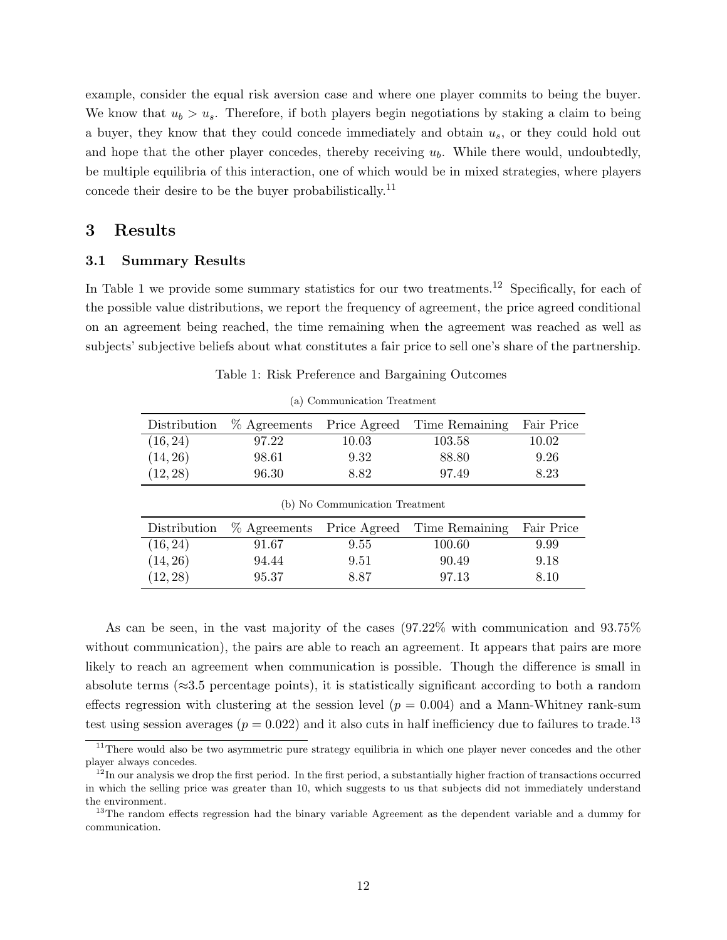example, consider the equal risk aversion case and where one player commits to being the buyer. We know that  $u_b > u_s$ . Therefore, if both players begin negotiations by staking a claim to being a buyer, they know that they could concede immediately and obtain  $u_s$ , or they could hold out and hope that the other player concedes, thereby receiving  $u<sub>b</sub>$ . While there would, undoubtedly, be multiple equilibria of this interaction, one of which would be in mixed strategies, where players concede their desire to be the buyer probabilistically.<sup>11</sup>

# 3 Results

### 3.1 Summary Results

In Table 1 we provide some summary statistics for our two treatments.<sup>12</sup> Specifically, for each of the possible value distributions, we report the frequency of agreement, the price agreed conditional on an agreement being reached, the time remaining when the agreement was reached as well as subjects' subjective beliefs about what constitutes a fair price to sell one's share of the partnership.

|  |  |  |  | Table 1: Risk Preference and Bargaining Outcomes |  |
|--|--|--|--|--------------------------------------------------|--|
|--|--|--|--|--------------------------------------------------|--|

| Distribution | $%$ Agreements            | Price Agreed                   | Time Remaining | Fair Price |
|--------------|---------------------------|--------------------------------|----------------|------------|
| (16, 24)     | 97.22                     | 10.03                          | 103.58         | 10.02      |
| (14, 26)     | 98.61                     | 9.32                           | 88.80          | 9.26       |
| (12, 28)     | 96.30                     | 8.82                           | 97.49          | 8.23       |
|              |                           |                                |                |            |
|              |                           | (b) No Communication Treatment |                |            |
| Distribution | % Agreements Price Agreed |                                | Time Remaining | Fair Price |
| (16, 24)     | 91.67                     | 9.55                           | 100.60         | 9.99       |
| (14, 26)     | 94.44                     | 9.51                           | 90.49          | 9.18       |

(a) Communication Treatment

As can be seen, in the vast majority of the cases (97.22% with communication and 93.75% without communication), the pairs are able to reach an agreement. It appears that pairs are more likely to reach an agreement when communication is possible. Though the difference is small in absolute terms ( $\approx$ 3.5 percentage points), it is statistically significant according to both a random effects regression with clustering at the session level  $(p = 0.004)$  and a Mann-Whitney rank-sum test using session averages ( $p = 0.022$ ) and it also cuts in half inefficiency due to failures to trade.<sup>13</sup>

<sup>&</sup>lt;sup>11</sup>There would also be two asymmetric pure strategy equilibria in which one player never concedes and the other player always concedes.

 $12$ In our analysis we drop the first period. In the first period, a substantially higher fraction of transactions occurred in which the selling price was greater than 10, which suggests to us that subjects did not immediately understand the environment.

<sup>&</sup>lt;sup>13</sup>The random effects regression had the binary variable Agreement as the dependent variable and a dummy for communication.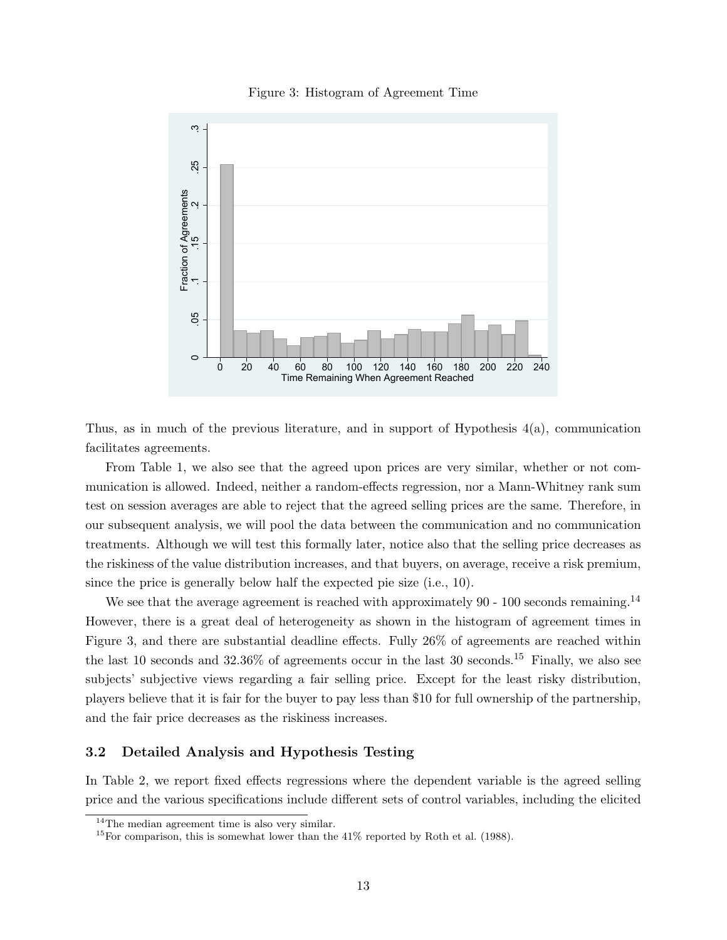### Figure 3: Histogram of Agreement Time



Thus, as in much of the previous literature, and in support of Hypothesis 4(a), communication facilitates agreements.

From Table 1, we also see that the agreed upon prices are very similar, whether or not communication is allowed. Indeed, neither a random-effects regression, nor a Mann-Whitney rank sum test on session averages are able to reject that the agreed selling prices are the same. Therefore, in our subsequent analysis, we will pool the data between the communication and no communication treatments. Although we will test this formally later, notice also that the selling price decreases as the riskiness of the value distribution increases, and that buyers, on average, receive a risk premium, since the price is generally below half the expected pie size (i.e., 10).

We see that the average agreement is reached with approximately  $90 - 100$  seconds remaining.<sup>14</sup> However, there is a great deal of heterogeneity as shown in the histogram of agreement times in Figure 3, and there are substantial deadline effects. Fully 26% of agreements are reached within the last 10 seconds and  $32.36\%$  of agreements occur in the last 30 seconds.<sup>15</sup> Finally, we also see subjects' subjective views regarding a fair selling price. Except for the least risky distribution, players believe that it is fair for the buyer to pay less than \$10 for full ownership of the partnership, and the fair price decreases as the riskiness increases.

### 3.2 Detailed Analysis and Hypothesis Testing

In Table 2, we report fixed effects regressions where the dependent variable is the agreed selling price and the various specifications include different sets of control variables, including the elicited

<sup>&</sup>lt;sup>14</sup>The median agreement time is also very similar.

<sup>&</sup>lt;sup>15</sup>For comparison, this is somewhat lower than the  $41\%$  reported by Roth et al. (1988).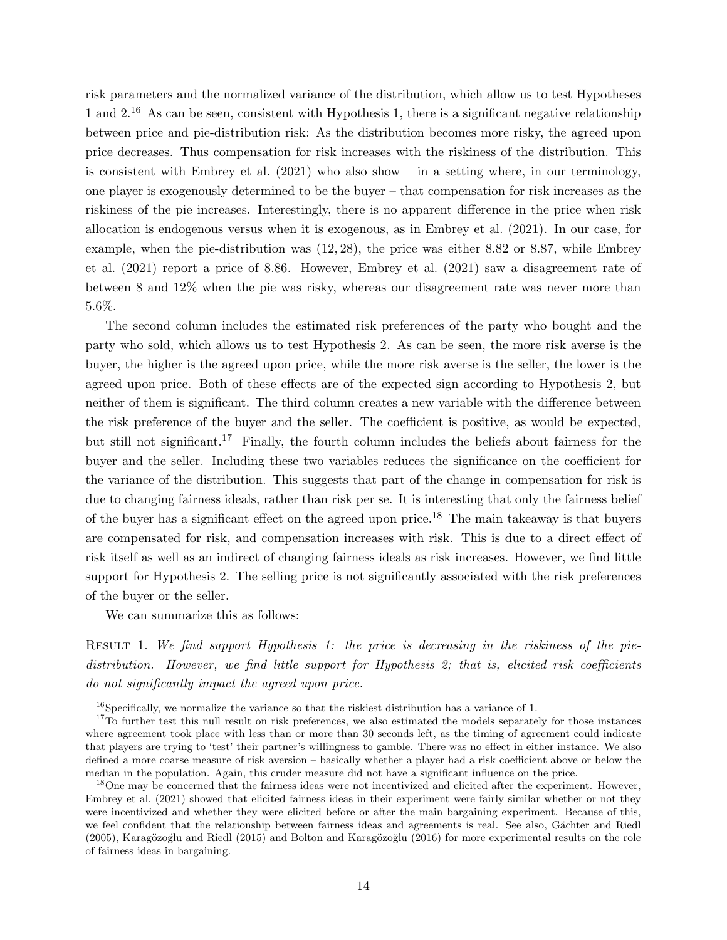risk parameters and the normalized variance of the distribution, which allow us to test Hypotheses 1 and  $2^{16}$  As can be seen, consistent with Hypothesis 1, there is a significant negative relationship between price and pie-distribution risk: As the distribution becomes more risky, the agreed upon price decreases. Thus compensation for risk increases with the riskiness of the distribution. This is consistent with Embrey et al.  $(2021)$  who also show – in a setting where, in our terminology, one player is exogenously determined to be the buyer – that compensation for risk increases as the riskiness of the pie increases. Interestingly, there is no apparent difference in the price when risk allocation is endogenous versus when it is exogenous, as in Embrey et al. (2021). In our case, for example, when the pie-distribution was (12, 28), the price was either 8.82 or 8.87, while Embrey et al. (2021) report a price of 8.86. However, Embrey et al. (2021) saw a disagreement rate of between 8 and 12% when the pie was risky, whereas our disagreement rate was never more than 5.6%.

The second column includes the estimated risk preferences of the party who bought and the party who sold, which allows us to test Hypothesis 2. As can be seen, the more risk averse is the buyer, the higher is the agreed upon price, while the more risk averse is the seller, the lower is the agreed upon price. Both of these effects are of the expected sign according to Hypothesis 2, but neither of them is significant. The third column creates a new variable with the difference between the risk preference of the buyer and the seller. The coefficient is positive, as would be expected, but still not significant.<sup>17</sup> Finally, the fourth column includes the beliefs about fairness for the buyer and the seller. Including these two variables reduces the significance on the coefficient for the variance of the distribution. This suggests that part of the change in compensation for risk is due to changing fairness ideals, rather than risk per se. It is interesting that only the fairness belief of the buyer has a significant effect on the agreed upon price.<sup>18</sup> The main takeaway is that buyers are compensated for risk, and compensation increases with risk. This is due to a direct effect of risk itself as well as an indirect of changing fairness ideals as risk increases. However, we find little support for Hypothesis 2. The selling price is not significantly associated with the risk preferences of the buyer or the seller.

We can summarize this as follows:

RESULT 1. We find support Hypothesis 1: the price is decreasing in the riskiness of the piedistribution. However, we find little support for Hypothesis 2; that is, elicited risk coefficients do not significantly impact the agreed upon price.

 $^{16}$ Specifically, we normalize the variance so that the riskiest distribution has a variance of 1.

<sup>&</sup>lt;sup>17</sup>To further test this null result on risk preferences, we also estimated the models separately for those instances where agreement took place with less than or more than 30 seconds left, as the timing of agreement could indicate that players are trying to 'test' their partner's willingness to gamble. There was no effect in either instance. We also defined a more coarse measure of risk aversion – basically whether a player had a risk coefficient above or below the median in the population. Again, this cruder measure did not have a significant influence on the price.

<sup>&</sup>lt;sup>18</sup>One may be concerned that the fairness ideas were not incentivized and elicited after the experiment. However, Embrey et al. (2021) showed that elicited fairness ideas in their experiment were fairly similar whether or not they were incentivized and whether they were elicited before or after the main bargaining experiment. Because of this, we feel confident that the relationship between fairness ideas and agreements is real. See also, Gächter and Riedl  $(2005)$ , Karagözoğlu and Riedl  $(2015)$  and Bolton and Karagözoğlu  $(2016)$  for more experimental results on the role of fairness ideas in bargaining.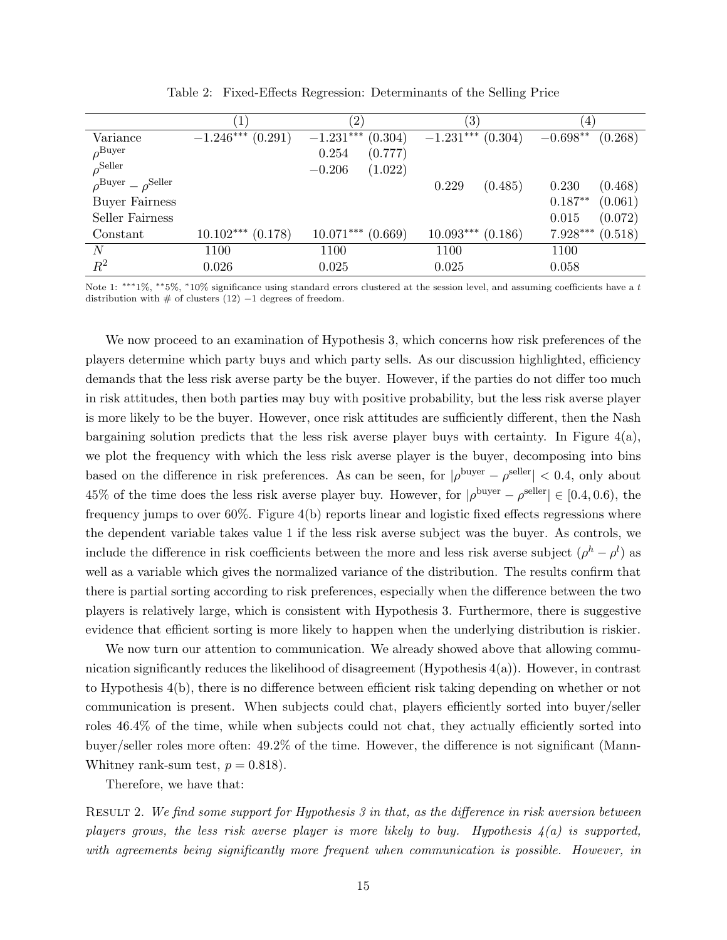|                                              | $\left  \right $       | $\left( 2\right)$      | $\left(3\right)$       | $\overline{4}$        |
|----------------------------------------------|------------------------|------------------------|------------------------|-----------------------|
| Variance                                     | $-1.246***$<br>(0.291) | $-1.231***$<br>(0.304) | $-1.231***$<br>(0.304) | $-0.698**$<br>(0.268) |
| $\rho^{\rm Buyer}$                           |                        | (0.777)<br>0.254       |                        |                       |
| $\rho^{\rm Seller}$                          |                        | (1.022)<br>$-0.206$    |                        |                       |
| $\rho^{\text{Buyer}} - \rho^{\text{Seller}}$ |                        |                        | 0.229<br>(0.485)       | (0.468)<br>0.230      |
| <b>Buyer Fairness</b>                        |                        |                        |                        | $0.187**$<br>(0.061)  |
| Seller Fairness                              |                        |                        |                        | (0.072)<br>0.015      |
| Constant                                     | $10.102***$<br>(0.178) | $10.071***$<br>(0.669) | $10.093***$<br>(0.186) | 7.928***<br>(0.518)   |
| $\,N$                                        | 1100                   | 1100                   | 1100                   | 1100                  |
| $\mathbb{R}^2$                               | 0.026                  | 0.025                  | 0.025                  | 0.058                 |

Table 2: Fixed-Effects Regression: Determinants of the Selling Price

Note 1: \*\*\*1%, \*\*5%, \*10% significance using standard errors clustered at the session level, and assuming coefficients have a t distribution with  $#$  of clusters (12)  $-1$  degrees of freedom.

We now proceed to an examination of Hypothesis 3, which concerns how risk preferences of the players determine which party buys and which party sells. As our discussion highlighted, efficiency demands that the less risk averse party be the buyer. However, if the parties do not differ too much in risk attitudes, then both parties may buy with positive probability, but the less risk averse player is more likely to be the buyer. However, once risk attitudes are sufficiently different, then the Nash bargaining solution predicts that the less risk averse player buys with certainty. In Figure  $4(a)$ , we plot the frequency with which the less risk averse player is the buyer, decomposing into bins based on the difference in risk preferences. As can be seen, for  $|\rho^{\text{burger}} - \rho^{\text{self}}| < 0.4$ , only about 45% of the time does the less risk averse player buy. However, for  $|\rho^{\s{textover}} - \rho^{\text{self}}| \in [0.4, 0.6)$ , the frequency jumps to over 60%. Figure 4(b) reports linear and logistic fixed effects regressions where the dependent variable takes value 1 if the less risk averse subject was the buyer. As controls, we include the difference in risk coefficients between the more and less risk averse subject  $(\rho^h - \rho^l)$  as well as a variable which gives the normalized variance of the distribution. The results confirm that there is partial sorting according to risk preferences, especially when the difference between the two players is relatively large, which is consistent with Hypothesis 3. Furthermore, there is suggestive evidence that efficient sorting is more likely to happen when the underlying distribution is riskier.

We now turn our attention to communication. We already showed above that allowing communication significantly reduces the likelihood of disagreement (Hypothesis  $4(a)$ ). However, in contrast to Hypothesis 4(b), there is no difference between efficient risk taking depending on whether or not communication is present. When subjects could chat, players efficiently sorted into buyer/seller roles 46.4% of the time, while when subjects could not chat, they actually efficiently sorted into buyer/seller roles more often: 49.2% of the time. However, the difference is not significant (Mann-Whitney rank-sum test,  $p = 0.818$ .

Therefore, we have that:

RESULT 2. We find some support for Hypothesis 3 in that, as the difference in risk aversion between players grows, the less risk averse player is more likely to buy. Hypothesis  $\mathcal{L}(a)$  is supported, with agreements being significantly more frequent when communication is possible. However, in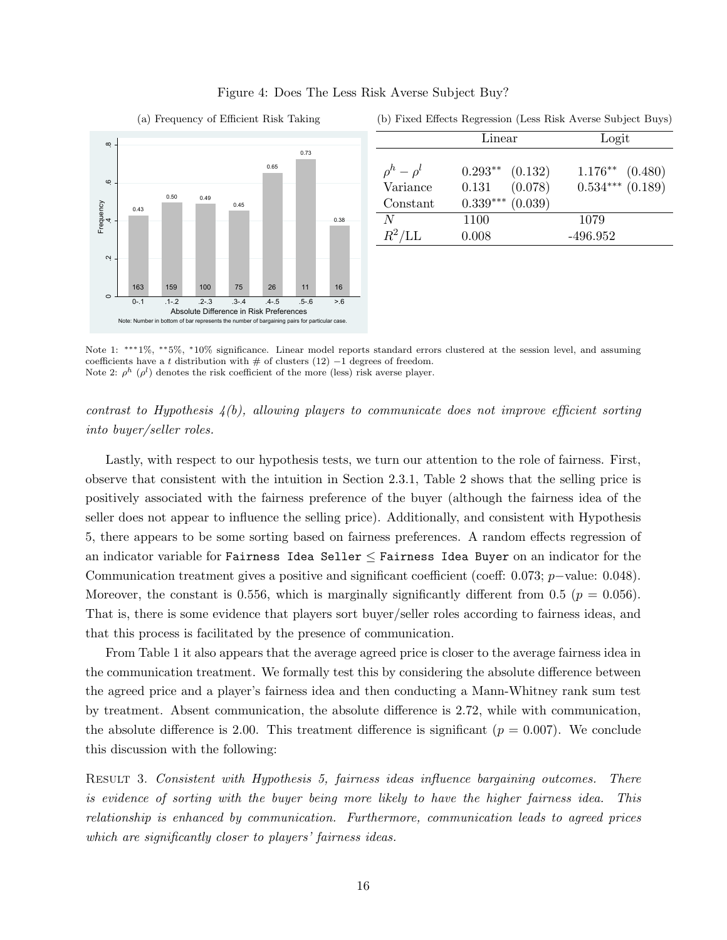

### Figure 4: Does The Less Risk Averse Subject Buy?

0.50 0.49 and the contract of the contract of the contract of the contract of the contract of the contract of the contract of the contract of the contract of the contract of the contract of the contract of the contract of  $\text{Constant} \qquad 0.339^{***} \ (0.039)$  $ρ<sup>h</sup> − ρ<sup>l</sup>$  0.293<sup>∗</sup>\* (0.132) 1.176<sup>∗</sup>\* (0.480) 0.73 Linear Logit  $\rho^h-\rho$ Variance 0.131 (0.078) 0.534∗∗∗ (0.189)

 $N = 1100$  1079  $R^2$ /LL 0.008 -496.952

(b) Fixed Effects Regression (Less Risk Averse Subject Buys)

Note 1: ∗∗∗1%, ∗∗5%, <sup>∗</sup>10% significance. Linear model reports standard errors clustered at the session level, and assuming coefficients have a t distribution with  $\#$  of clusters (12) −1 degrees of freedom. Note 2:  $\rho^h$  ( $\rho^l$ ) denotes the risk coefficient of the more (less) risk averse player.

contrast to Hypothesis  $\mathcal{L}(b)$ , allowing players to communicate does not improve efficient sorting into buyer/seller roles.

Lastly, with respect to our hypothesis tests, we turn our attention to the role of fairness. First, observe that consistent with the intuition in Section 2.3.1, Table 2 shows that the selling price is positively associated with the fairness preference of the buyer (although the fairness idea of the seller does not appear to influence the selling price). Additionally, and consistent with Hypothesis 5, there appears to be some sorting based on fairness preferences. A random effects regression of an indicator variable for Fairness Idea Seller  $\leq$  Fairness Idea Buyer on an indicator for the Communication treatment gives a positive and significant coefficient (coeff: 0.073; p−value: 0.048). Moreover, the constant is 0.556, which is marginally significantly different from 0.5 ( $p = 0.056$ ). That is, there is some evidence that players sort buyer/seller roles according to fairness ideas, and that this process is facilitated by the presence of communication.

From Table 1 it also appears that the average agreed price is closer to the average fairness idea in the communication treatment. We formally test this by considering the absolute difference between the agreed price and a player's fairness idea and then conducting a Mann-Whitney rank sum test by treatment. Absent communication, the absolute difference is 2.72, while with communication, the absolute difference is 2.00. This treatment difference is significant  $(p = 0.007)$ . We conclude this discussion with the following:

Result 3. Consistent with Hypothesis 5, fairness ideas influence bargaining outcomes. There is evidence of sorting with the buyer being more likely to have the higher fairness idea. This relationship is enhanced by communication. Furthermore, communication leads to agreed prices which are significantly closer to players' fairness ideas.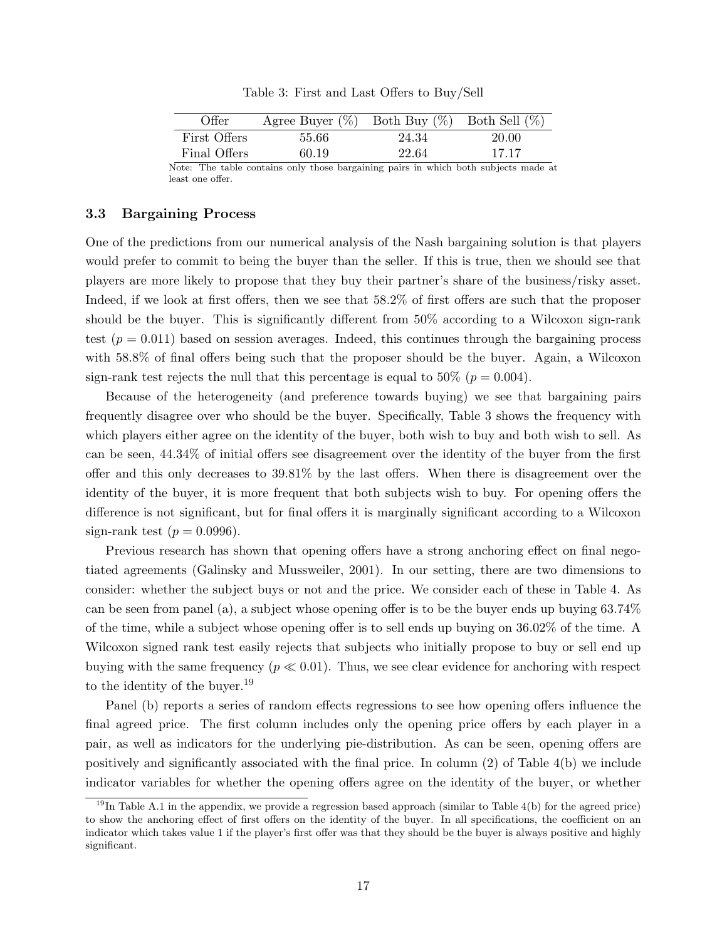Table 3: First and Last Offers to Buy/Sell

| Offer        | Agree Buyer $(\%)$ Both Buy $(\%)$ |       | Both Sell $(\%)$ |
|--------------|------------------------------------|-------|------------------|
| First Offers | 55.66                              | 24.34 | 20.00            |
| Final Offers | 60.19                              | 22.64 | 17.17            |

Note: The table contains only those bargaining pairs in which both subjects made at least one offer.

### 3.3 Bargaining Process

One of the predictions from our numerical analysis of the Nash bargaining solution is that players would prefer to commit to being the buyer than the seller. If this is true, then we should see that players are more likely to propose that they buy their partner's share of the business/risky asset. Indeed, if we look at first offers, then we see that 58.2% of first offers are such that the proposer should be the buyer. This is significantly different from 50% according to a Wilcoxon sign-rank test  $(p = 0.011)$  based on session averages. Indeed, this continues through the bargaining process with 58.8% of final offers being such that the proposer should be the buyer. Again, a Wilcoxon sign-rank test rejects the null that this percentage is equal to  $50\%$  ( $p = 0.004$ ).

Because of the heterogeneity (and preference towards buying) we see that bargaining pairs frequently disagree over who should be the buyer. Specifically, Table 3 shows the frequency with which players either agree on the identity of the buyer, both wish to buy and both wish to sell. As can be seen, 44.34% of initial offers see disagreement over the identity of the buyer from the first offer and this only decreases to 39.81% by the last offers. When there is disagreement over the identity of the buyer, it is more frequent that both subjects wish to buy. For opening offers the difference is not significant, but for final offers it is marginally significant according to a Wilcoxon sign-rank test  $(p = 0.0996)$ .

Previous research has shown that opening offers have a strong anchoring effect on final negotiated agreements (Galinsky and Mussweiler, 2001). In our setting, there are two dimensions to consider: whether the subject buys or not and the price. We consider each of these in Table 4. As can be seen from panel (a), a subject whose opening offer is to be the buyer ends up buying 63.74% of the time, while a subject whose opening offer is to sell ends up buying on 36.02% of the time. A Wilcoxon signed rank test easily rejects that subjects who initially propose to buy or sell end up buying with the same frequency ( $p \ll 0.01$ ). Thus, we see clear evidence for anchoring with respect to the identity of the buyer.<sup>19</sup>

Panel (b) reports a series of random effects regressions to see how opening offers influence the final agreed price. The first column includes only the opening price offers by each player in a pair, as well as indicators for the underlying pie-distribution. As can be seen, opening offers are positively and significantly associated with the final price. In column (2) of Table 4(b) we include indicator variables for whether the opening offers agree on the identity of the buyer, or whether

 $19$ In Table A.1 in the appendix, we provide a regression based approach (similar to Table 4(b) for the agreed price) to show the anchoring effect of first offers on the identity of the buyer. In all specifications, the coefficient on an indicator which takes value 1 if the player's first offer was that they should be the buyer is always positive and highly significant.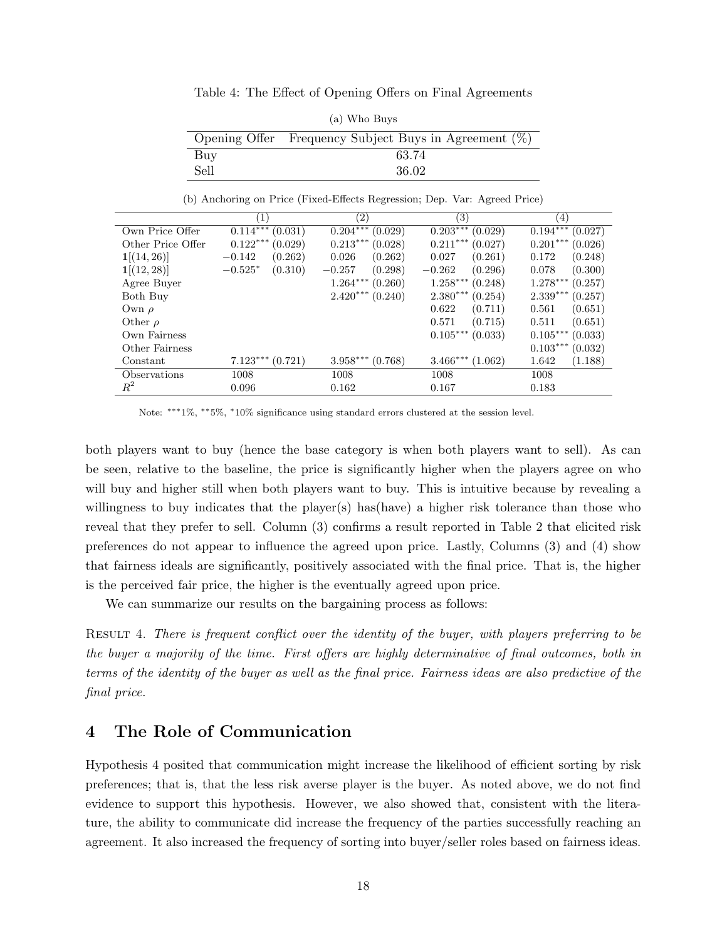Table 4: The Effect of Opening Offers on Final Agreements

|      | (a) Who Buys                                             |
|------|----------------------------------------------------------|
|      | Opening Offer Frequency Subject Buys in Agreement $(\%)$ |
| Buy  | 63.74                                                    |
| Sell | 36.02                                                    |

(b) Anchoring on Price (Fixed-Effects Regression; Dep. Var: Agreed Price)

|                     | 1                     | $^{\prime}2)$         | $\left(3\right)$      | $\left( 4\right)$     |
|---------------------|-----------------------|-----------------------|-----------------------|-----------------------|
| Own Price Offer     | $0.114***$<br>(0.031) | $0.204***$<br>(0.029) | $0.203***$<br>(0.029) | $0.194***$<br>(0.027) |
| Other Price Offer   | $0.122***$<br>(0.029) | $0.213***$<br>(0.028) | $0.211***$<br>(0.027) | $0.201***$<br>(0.026) |
| 1[(14, 26)]         | (0.262)<br>$-0.142$   | (0.262)<br>0.026      | (0.261)<br>0.027      | 0.172<br>(0.248)      |
| 1[(12, 28)]         | $-0.525*$<br>(0.310)  | (0.298)<br>$-0.257$   | (0.296)<br>$-0.262$   | (0.300)<br>0.078      |
| Agree Buyer         |                       | $1.264***$<br>(0.260) | $1.258***$<br>(0.248) | $1.278***$<br>(0.257) |
| Both Buy            |                       | $2.420***$<br>(0.240) | $2.380***$<br>(0.254) | $2.339***$<br>(0.257) |
| Own $\rho$          |                       |                       | (0.711)<br>0.622      | 0.561<br>(0.651)      |
| Other $\rho$        |                       |                       | 0.571<br>(0.715)      | (0.651)<br>0.511      |
| Own Fairness        |                       |                       | $0.105***$<br>(0.033) | $0.105***$<br>(0.033) |
| Other Fairness      |                       |                       |                       | $0.103***$<br>(0.032) |
| Constant            | $7.123***$<br>(0.721) | $3.958***$<br>(0.768) | $3.466***$<br>(1.062) | 1.642<br>(1.188)      |
| <b>Observations</b> | 1008                  | 1008                  | 1008                  | 1008                  |
| $\,R^2$             | 0.096                 | 0.162                 | 0.167                 | 0.183                 |

Note: ∗∗∗1%, ∗∗5%, <sup>∗</sup>10% significance using standard errors clustered at the session level.

both players want to buy (hence the base category is when both players want to sell). As can be seen, relative to the baseline, the price is significantly higher when the players agree on who will buy and higher still when both players want to buy. This is intuitive because by revealing a willingness to buy indicates that the player(s) has(have) a higher risk tolerance than those who reveal that they prefer to sell. Column (3) confirms a result reported in Table 2 that elicited risk preferences do not appear to influence the agreed upon price. Lastly, Columns (3) and (4) show that fairness ideals are significantly, positively associated with the final price. That is, the higher is the perceived fair price, the higher is the eventually agreed upon price.

We can summarize our results on the bargaining process as follows:

Result 4. There is frequent conflict over the identity of the buyer, with players preferring to be the buyer a majority of the time. First offers are highly determinative of final outcomes, both in terms of the identity of the buyer as well as the final price. Fairness ideas are also predictive of the final price.

# 4 The Role of Communication

Hypothesis 4 posited that communication might increase the likelihood of efficient sorting by risk preferences; that is, that the less risk averse player is the buyer. As noted above, we do not find evidence to support this hypothesis. However, we also showed that, consistent with the literature, the ability to communicate did increase the frequency of the parties successfully reaching an agreement. It also increased the frequency of sorting into buyer/seller roles based on fairness ideas.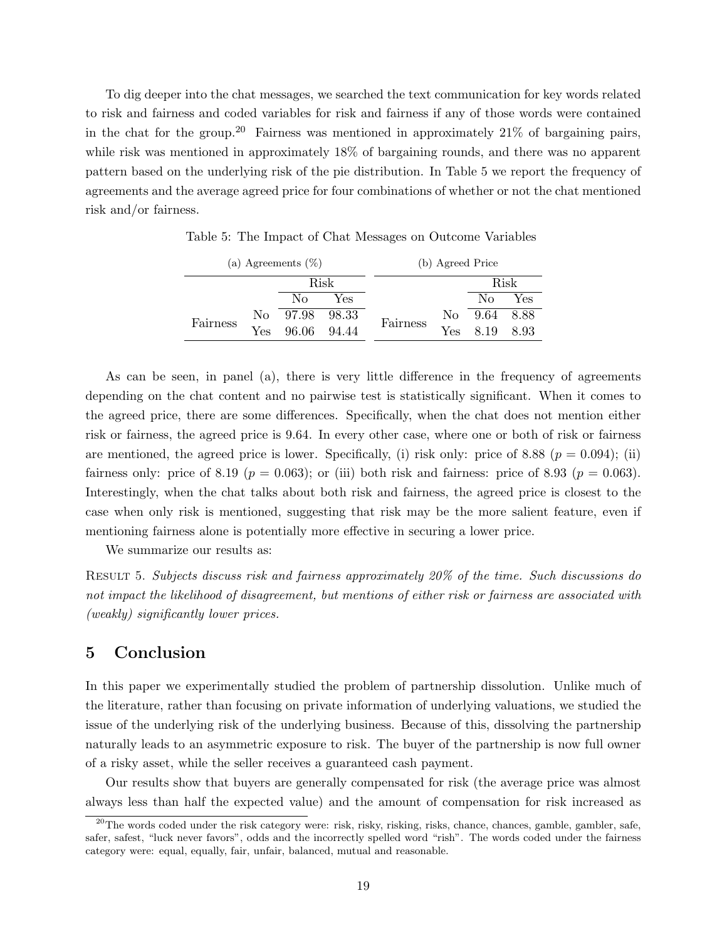To dig deeper into the chat messages, we searched the text communication for key words related to risk and fairness and coded variables for risk and fairness if any of those words were contained in the chat for the group.<sup>20</sup> Fairness was mentioned in approximately  $21\%$  of bargaining pairs, while risk was mentioned in approximately 18% of bargaining rounds, and there was no apparent pattern based on the underlying risk of the pie distribution. In Table 5 we report the frequency of agreements and the average agreed price for four combinations of whether or not the chat mentioned risk and/or fairness.

|          | (a) Agreements $(\%)$ |             |       |          | (b) Agreed Price |              |      |
|----------|-----------------------|-------------|-------|----------|------------------|--------------|------|
|          |                       |             | Risk  |          |                  |              | Risk |
|          |                       | Nο          | Yes   |          |                  | $\rm No$     | Yes  |
| Fairness | $N_{\Omega}$          | 97.98 98.33 |       | Fairness |                  | No 9.64 8.88 |      |
|          | Yes                   | 96.06       | 94.44 |          | <b>Yes</b>       | 8.19         | 8.93 |

Table 5: The Impact of Chat Messages on Outcome Variables

As can be seen, in panel (a), there is very little difference in the frequency of agreements depending on the chat content and no pairwise test is statistically significant. When it comes to the agreed price, there are some differences. Specifically, when the chat does not mention either risk or fairness, the agreed price is 9.64. In every other case, where one or both of risk or fairness are mentioned, the agreed price is lower. Specifically, (i) risk only: price of 8.88 ( $p = 0.094$ ); (ii) fairness only: price of 8.19 ( $p = 0.063$ ); or (iii) both risk and fairness: price of 8.93 ( $p = 0.063$ ). Interestingly, when the chat talks about both risk and fairness, the agreed price is closest to the case when only risk is mentioned, suggesting that risk may be the more salient feature, even if mentioning fairness alone is potentially more effective in securing a lower price.

We summarize our results as:

Result 5. Subjects discuss risk and fairness approximately 20% of the time. Such discussions do not impact the likelihood of disagreement, but mentions of either risk or fairness are associated with (weakly) significantly lower prices.

# 5 Conclusion

In this paper we experimentally studied the problem of partnership dissolution. Unlike much of the literature, rather than focusing on private information of underlying valuations, we studied the issue of the underlying risk of the underlying business. Because of this, dissolving the partnership naturally leads to an asymmetric exposure to risk. The buyer of the partnership is now full owner of a risky asset, while the seller receives a guaranteed cash payment.

Our results show that buyers are generally compensated for risk (the average price was almost always less than half the expected value) and the amount of compensation for risk increased as

<sup>&</sup>lt;sup>20</sup>The words coded under the risk category were: risk, risky, risking, risks, chance, chances, gamble, gambler, safe, safer, safest, "luck never favors", odds and the incorrectly spelled word "rish". The words coded under the fairness category were: equal, equally, fair, unfair, balanced, mutual and reasonable.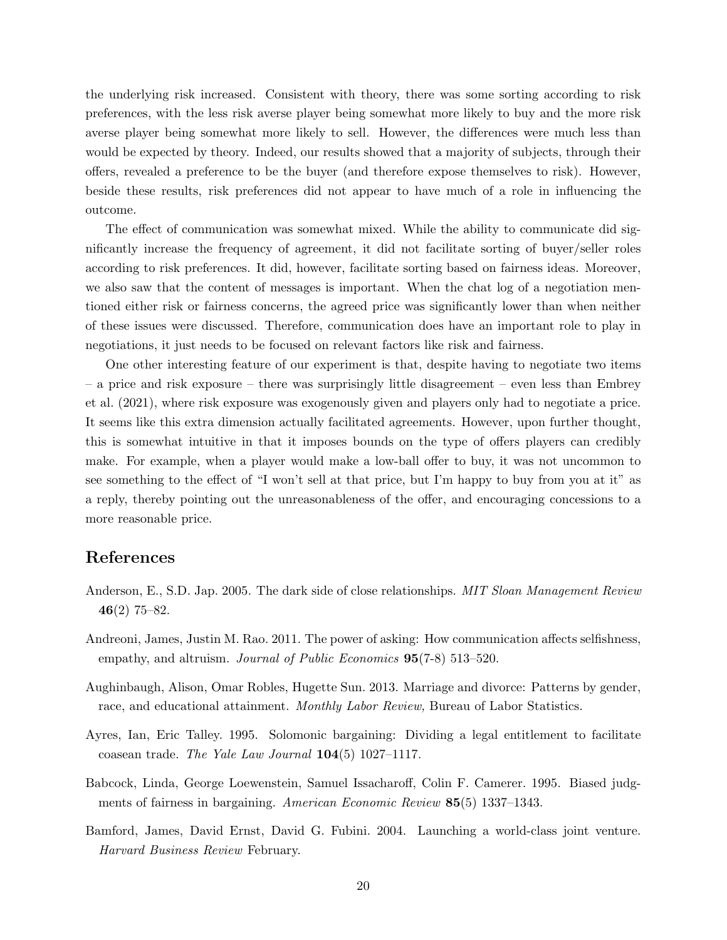the underlying risk increased. Consistent with theory, there was some sorting according to risk preferences, with the less risk averse player being somewhat more likely to buy and the more risk averse player being somewhat more likely to sell. However, the differences were much less than would be expected by theory. Indeed, our results showed that a majority of subjects, through their offers, revealed a preference to be the buyer (and therefore expose themselves to risk). However, beside these results, risk preferences did not appear to have much of a role in influencing the outcome.

The effect of communication was somewhat mixed. While the ability to communicate did significantly increase the frequency of agreement, it did not facilitate sorting of buyer/seller roles according to risk preferences. It did, however, facilitate sorting based on fairness ideas. Moreover, we also saw that the content of messages is important. When the chat log of a negotiation mentioned either risk or fairness concerns, the agreed price was significantly lower than when neither of these issues were discussed. Therefore, communication does have an important role to play in negotiations, it just needs to be focused on relevant factors like risk and fairness.

One other interesting feature of our experiment is that, despite having to negotiate two items – a price and risk exposure – there was surprisingly little disagreement – even less than Embrey et al. (2021), where risk exposure was exogenously given and players only had to negotiate a price. It seems like this extra dimension actually facilitated agreements. However, upon further thought, this is somewhat intuitive in that it imposes bounds on the type of offers players can credibly make. For example, when a player would make a low-ball offer to buy, it was not uncommon to see something to the effect of "I won't sell at that price, but I'm happy to buy from you at it" as a reply, thereby pointing out the unreasonableness of the offer, and encouraging concessions to a more reasonable price.

# References

- Anderson, E., S.D. Jap. 2005. The dark side of close relationships. MIT Sloan Management Review  $46(2)$  75–82.
- Andreoni, James, Justin M. Rao. 2011. The power of asking: How communication affects selfishness, empathy, and altruism. Journal of Public Economics  $95(7-8)$  513-520.
- Aughinbaugh, Alison, Omar Robles, Hugette Sun. 2013. Marriage and divorce: Patterns by gender, race, and educational attainment. Monthly Labor Review, Bureau of Labor Statistics.
- Ayres, Ian, Eric Talley. 1995. Solomonic bargaining: Dividing a legal entitlement to facilitate coasean trade. The Yale Law Journal 104(5) 1027–1117.
- Babcock, Linda, George Loewenstein, Samuel Issacharoff, Colin F. Camerer. 1995. Biased judgments of fairness in bargaining. American Economic Review 85(5) 1337–1343.
- Bamford, James, David Ernst, David G. Fubini. 2004. Launching a world-class joint venture. Harvard Business Review February.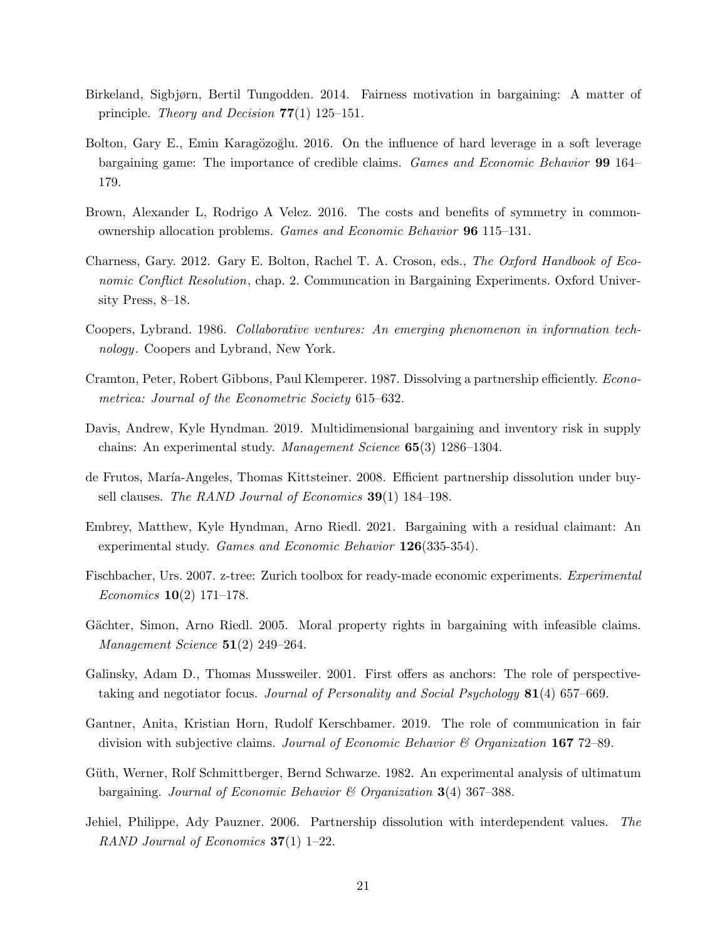- Birkeland, Sigbjørn, Bertil Tungodden. 2014. Fairness motivation in bargaining: A matter of principle. Theory and Decision  $77(1)$  125–151.
- Bolton, Gary E., Emin Karagözoğlu. 2016. On the influence of hard leverage in a soft leverage bargaining game: The importance of credible claims. Games and Economic Behavior 99 164– 179.
- Brown, Alexander L, Rodrigo A Velez. 2016. The costs and benefits of symmetry in commonownership allocation problems. Games and Economic Behavior 96 115–131.
- Charness, Gary. 2012. Gary E. Bolton, Rachel T. A. Croson, eds., The Oxford Handbook of Economic Conflict Resolution, chap. 2. Communcation in Bargaining Experiments. Oxford University Press, 8–18.
- Coopers, Lybrand. 1986. Collaborative ventures: An emerging phenomenon in information technology. Coopers and Lybrand, New York.
- Cramton, Peter, Robert Gibbons, Paul Klemperer. 1987. Dissolving a partnership efficiently. Econometrica: Journal of the Econometric Society 615–632.
- Davis, Andrew, Kyle Hyndman. 2019. Multidimensional bargaining and inventory risk in supply chains: An experimental study. Management Science 65(3) 1286–1304.
- de Frutos, Mar´ıa-Angeles, Thomas Kittsteiner. 2008. Efficient partnership dissolution under buysell clauses. The RAND Journal of Economics **39**(1) 184–198.
- Embrey, Matthew, Kyle Hyndman, Arno Riedl. 2021. Bargaining with a residual claimant: An experimental study. Games and Economic Behavior 126(335-354).
- Fischbacher, Urs. 2007. z-tree: Zurich toolbox for ready-made economic experiments. Experimental Economics 10(2) 171–178.
- Gächter, Simon, Arno Riedl. 2005. Moral property rights in bargaining with infeasible claims. Management Science  $51(2)$  249–264.
- Galinsky, Adam D., Thomas Mussweiler. 2001. First offers as anchors: The role of perspectivetaking and negotiator focus. Journal of Personality and Social Psychology 81(4) 657–669.
- Gantner, Anita, Kristian Horn, Rudolf Kerschbamer. 2019. The role of communication in fair division with subjective claims. Journal of Economic Behavior  $\mathcal C$  Organization 167 72–89.
- Güth, Werner, Rolf Schmittberger, Bernd Schwarze. 1982. An experimental analysis of ultimatum bargaining. Journal of Economic Behavior  $\mathcal{B}$  Organization 3(4) 367–388.
- Jehiel, Philippe, Ady Pauzner. 2006. Partnership dissolution with interdependent values. The RAND Journal of Economics  $37(1)$  1–22.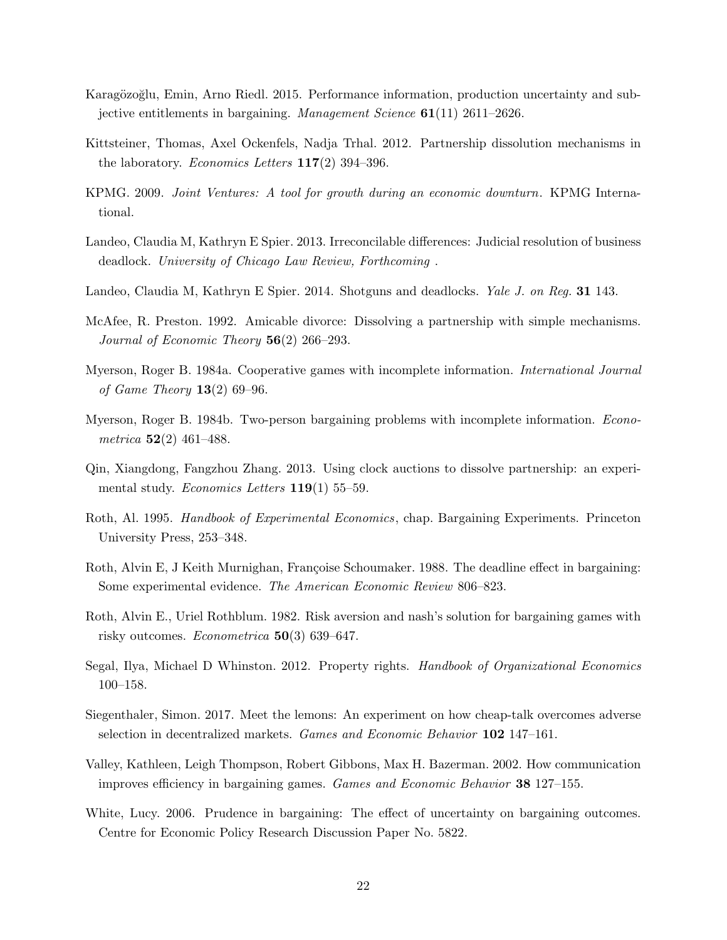- Karagözoğlu, Emin, Arno Riedl. 2015. Performance information, production uncertainty and subjective entitlements in bargaining. Management Science 61(11) 2611–2626.
- Kittsteiner, Thomas, Axel Ockenfels, Nadja Trhal. 2012. Partnership dissolution mechanisms in the laboratory. *Economics Letters*  $117(2)$  394–396.
- KPMG. 2009. Joint Ventures: A tool for growth during an economic downturn. KPMG International.
- Landeo, Claudia M, Kathryn E Spier. 2013. Irreconcilable differences: Judicial resolution of business deadlock. University of Chicago Law Review, Forthcoming .
- Landeo, Claudia M, Kathryn E Spier. 2014. Shotguns and deadlocks. *Yale J. on Reg.* 31 143.
- McAfee, R. Preston. 1992. Amicable divorce: Dissolving a partnership with simple mechanisms. Journal of Economic Theory  $56(2)$  266–293.
- Myerson, Roger B. 1984a. Cooperative games with incomplete information. International Journal of Game Theory  $13(2)$  69–96.
- Myerson, Roger B. 1984b. Two-person bargaining problems with incomplete information. Econometrica  $52(2)$  461–488.
- Qin, Xiangdong, Fangzhou Zhang. 2013. Using clock auctions to dissolve partnership: an experimental study. Economics Letters  $119(1)$  55–59.
- Roth, Al. 1995. Handbook of Experimental Economics, chap. Bargaining Experiments. Princeton University Press, 253–348.
- Roth, Alvin E, J Keith Murnighan, Françoise Schoumaker. 1988. The deadline effect in bargaining: Some experimental evidence. The American Economic Review 806–823.
- Roth, Alvin E., Uriel Rothblum. 1982. Risk aversion and nash's solution for bargaining games with risky outcomes. *Econometrica* **50**(3) 639–647.
- Segal, Ilya, Michael D Whinston. 2012. Property rights. Handbook of Organizational Economics 100–158.
- Siegenthaler, Simon. 2017. Meet the lemons: An experiment on how cheap-talk overcomes adverse selection in decentralized markets. Games and Economic Behavior 102 147–161.
- Valley, Kathleen, Leigh Thompson, Robert Gibbons, Max H. Bazerman. 2002. How communication improves efficiency in bargaining games. Games and Economic Behavior 38 127–155.
- White, Lucy. 2006. Prudence in bargaining: The effect of uncertainty on bargaining outcomes. Centre for Economic Policy Research Discussion Paper No. 5822.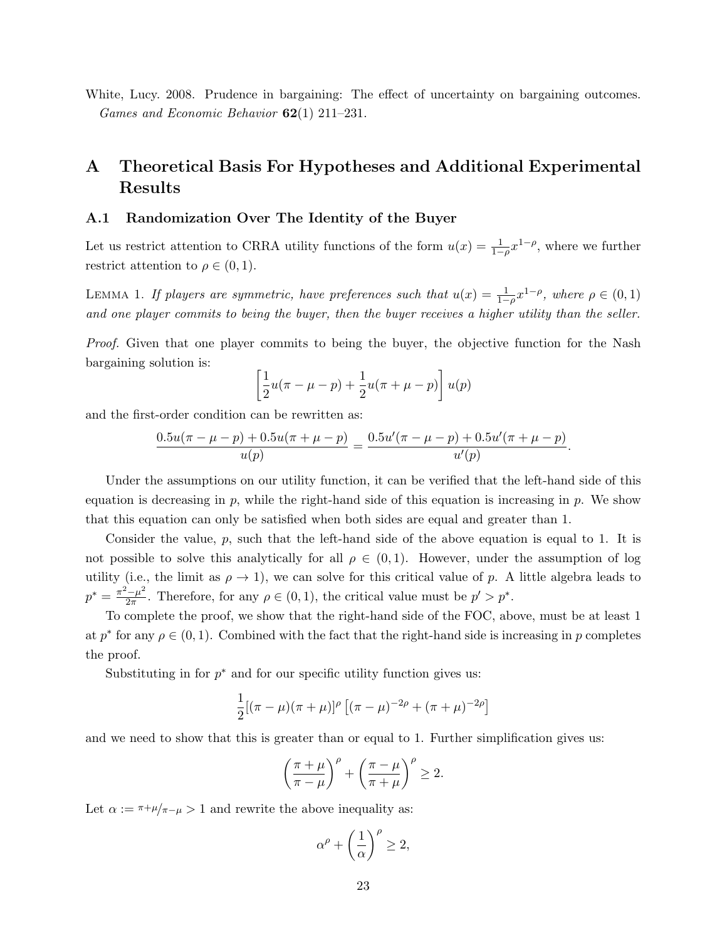White, Lucy. 2008. Prudence in bargaining: The effect of uncertainty on bargaining outcomes. Games and Economic Behavior 62(1) 211–231.

# A Theoretical Basis For Hypotheses and Additional Experimental Results

### A.1 Randomization Over The Identity of the Buyer

Let us restrict attention to CRRA utility functions of the form  $u(x) = \frac{1}{1-\rho}x^{1-\rho}$ , where we further restrict attention to  $\rho \in (0,1)$ .

LEMMA 1. If players are symmetric, have preferences such that  $u(x) = \frac{1}{1-\rho}x^{1-\rho}$ , where  $\rho \in (0,1)$ and one player commits to being the buyer, then the buyer receives a higher utility than the seller.

Proof. Given that one player commits to being the buyer, the objective function for the Nash bargaining solution is:

$$
\left[\frac{1}{2}u(\pi-\mu-p)+\frac{1}{2}u(\pi+\mu-p)\right]u(p)
$$

and the first-order condition can be rewritten as:

$$
\frac{0.5u(\pi - \mu - p) + 0.5u(\pi + \mu - p)}{u(p)} = \frac{0.5u'(\pi - \mu - p) + 0.5u'(\pi + \mu - p)}{u'(p)}
$$

.

Under the assumptions on our utility function, it can be verified that the left-hand side of this equation is decreasing in  $p$ , while the right-hand side of this equation is increasing in  $p$ . We show that this equation can only be satisfied when both sides are equal and greater than 1.

Consider the value,  $p$ , such that the left-hand side of the above equation is equal to 1. It is not possible to solve this analytically for all  $\rho \in (0,1)$ . However, under the assumption of log utility (i.e., the limit as  $\rho \to 1$ ), we can solve for this critical value of p. A little algebra leads to  $p^* = \frac{\pi^2 - \mu^2}{2\pi}$  $\frac{d^2 - \mu^2}{2\pi}$ . Therefore, for any  $\rho \in (0, 1)$ , the critical value must be  $p' > p^*$ .

To complete the proof, we show that the right-hand side of the FOC, above, must be at least 1 at  $p^*$  for any  $\rho \in (0, 1)$ . Combined with the fact that the right-hand side is increasing in p completes the proof.

Substituting in for  $p^*$  and for our specific utility function gives us:

$$
\frac{1}{2}[(\pi - \mu)(\pi + \mu)]^{\rho} [(\pi - \mu)^{-2\rho} + (\pi + \mu)^{-2\rho}]
$$

and we need to show that this is greater than or equal to 1. Further simplification gives us:

$$
\left(\frac{\pi+\mu}{\pi-\mu}\right)^{\rho} + \left(\frac{\pi-\mu}{\pi+\mu}\right)^{\rho} \ge 2.
$$

Let  $\alpha := \pi + \mu/\pi - \mu > 1$  and rewrite the above inequality as:

$$
\alpha^{\rho} + \left(\frac{1}{\alpha}\right)^{\rho} \ge 2,
$$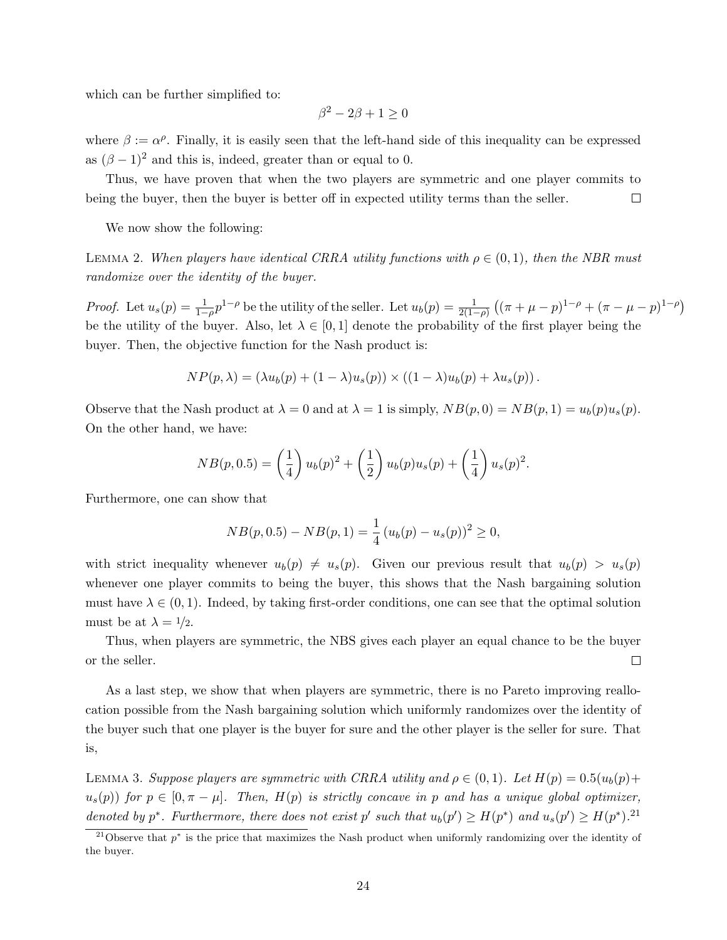which can be further simplified to:

$$
\beta^2 - 2\beta + 1 \ge 0
$$

where  $\beta := \alpha^{\rho}$ . Finally, it is easily seen that the left-hand side of this inequality can be expressed as  $(\beta - 1)^2$  and this is, indeed, greater than or equal to 0.

Thus, we have proven that when the two players are symmetric and one player commits to being the buyer, then the buyer is better off in expected utility terms than the seller.  $\Box$ 

We now show the following:

LEMMA 2. When players have identical CRRA utility functions with  $\rho \in (0,1)$ , then the NBR must randomize over the identity of the buyer.

*Proof.* Let  $u_s(p) = \frac{1}{1-\rho} p^{1-\rho}$  be the utility of the seller. Let  $u_b(p) = \frac{1}{2(1-\rho)} \left( (\pi + \mu - p)^{1-\rho} + (\pi - \mu - p)^{1-\rho} \right)$ be the utility of the buyer. Also, let  $\lambda \in [0,1]$  denote the probability of the first player being the buyer. Then, the objective function for the Nash product is:

$$
NP(p, \lambda) = (\lambda u_b(p) + (1 - \lambda)u_s(p)) \times ((1 - \lambda)u_b(p) + \lambda u_s(p)).
$$

Observe that the Nash product at  $\lambda = 0$  and at  $\lambda = 1$  is simply,  $NB(p, 0) = NB(p, 1) = u_b(p)u_s(p)$ . On the other hand, we have:

$$
NB(p, 0.5) = \left(\frac{1}{4}\right)u_b(p)^2 + \left(\frac{1}{2}\right)u_b(p)u_s(p) + \left(\frac{1}{4}\right)u_s(p)^2.
$$

Furthermore, one can show that

$$
NB(p, 0.5) - NB(p, 1) = \frac{1}{4} (u_b(p) - u_s(p))^2 \ge 0,
$$

with strict inequality whenever  $u_b(p) \neq u_s(p)$ . Given our previous result that  $u_b(p) > u_s(p)$ whenever one player commits to being the buyer, this shows that the Nash bargaining solution must have  $\lambda \in (0, 1)$ . Indeed, by taking first-order conditions, one can see that the optimal solution must be at  $\lambda = 1/2$ .

Thus, when players are symmetric, the NBS gives each player an equal chance to be the buyer or the seller.  $\Box$ 

As a last step, we show that when players are symmetric, there is no Pareto improving reallocation possible from the Nash bargaining solution which uniformly randomizes over the identity of the buyer such that one player is the buyer for sure and the other player is the seller for sure. That is,

LEMMA 3. Suppose players are symmetric with CRRA utility and  $\rho \in (0,1)$ . Let  $H(p) = 0.5(u_b(p) +$  $u_s(p)$ ) for  $p \in [0, \pi - \mu]$ . Then,  $H(p)$  is strictly concave in p and has a unique global optimizer, denoted by  $p^*$ . Furthermore, there does not exist p' such that  $u_b(p') \ge H(p^*)$  and  $u_s(p') \ge H(p^*)$ .<sup>21</sup>

<sup>&</sup>lt;sup>21</sup>Observe that  $p^*$  is the price that maximizes the Nash product when uniformly randomizing over the identity of the buyer.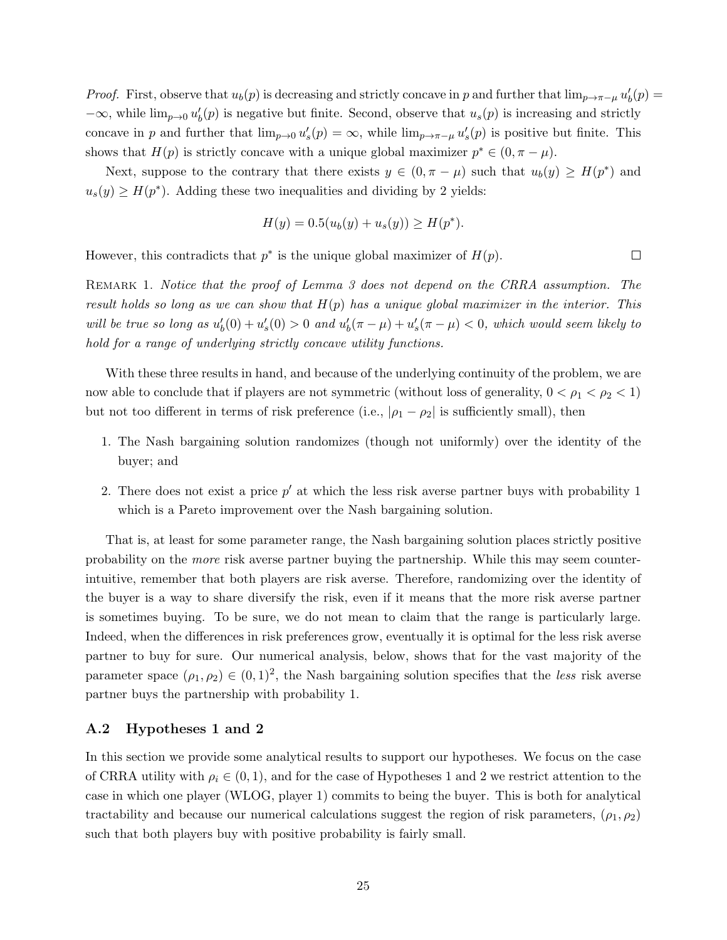*Proof.* First, observe that  $u_b(p)$  is decreasing and strictly concave in p and further that  $\lim_{p\to\pi-\mu}u'_b(p)$  $-\infty$ , while  $\lim_{p\to 0} u'_b(p)$  is negative but finite. Second, observe that  $u_s(p)$  is increasing and strictly concave in p and further that  $\lim_{p\to 0} u_s'(p) = \infty$ , while  $\lim_{p\to \pi-\mu} u_s'(p)$  is positive but finite. This shows that  $H(p)$  is strictly concave with a unique global maximizer  $p^* \in (0, \pi - \mu)$ .

Next, suppose to the contrary that there exists  $y \in (0, \pi - \mu)$  such that  $u_b(y) \geq H(p^*)$  and  $u_s(y) \geq H(p^*)$ . Adding these two inequalities and dividing by 2 yields:

$$
H(y) = 0.5(u_b(y) + u_s(y)) \ge H(p^*).
$$

 $\Box$ 

However, this contradicts that  $p^*$  is the unique global maximizer of  $H(p)$ .

REMARK 1. Notice that the proof of Lemma 3 does not depend on the CRRA assumption. The result holds so long as we can show that  $H(p)$  has a unique global maximizer in the interior. This will be true so long as  $u'_b(0) + u'_s(0) > 0$  and  $u'_b(\pi - \mu) + u'_s(\pi - \mu) < 0$ , which would seem likely to hold for a range of underlying strictly concave utility functions.

With these three results in hand, and because of the underlying continuity of the problem, we are now able to conclude that if players are not symmetric (without loss of generality,  $0 < \rho_1 < \rho_2 < 1$ ) but not too different in terms of risk preference (i.e.,  $|\rho_1 - \rho_2|$  is sufficiently small), then

- 1. The Nash bargaining solution randomizes (though not uniformly) over the identity of the buyer; and
- 2. There does not exist a price  $p'$  at which the less risk averse partner buys with probability 1 which is a Pareto improvement over the Nash bargaining solution.

That is, at least for some parameter range, the Nash bargaining solution places strictly positive probability on the more risk averse partner buying the partnership. While this may seem counterintuitive, remember that both players are risk averse. Therefore, randomizing over the identity of the buyer is a way to share diversify the risk, even if it means that the more risk averse partner is sometimes buying. To be sure, we do not mean to claim that the range is particularly large. Indeed, when the differences in risk preferences grow, eventually it is optimal for the less risk averse partner to buy for sure. Our numerical analysis, below, shows that for the vast majority of the parameter space  $(\rho_1, \rho_2) \in (0, 1)^2$ , the Nash bargaining solution specifies that the less risk averse partner buys the partnership with probability 1.

### A.2 Hypotheses 1 and 2

In this section we provide some analytical results to support our hypotheses. We focus on the case of CRRA utility with  $\rho_i \in (0,1)$ , and for the case of Hypotheses 1 and 2 we restrict attention to the case in which one player (WLOG, player 1) commits to being the buyer. This is both for analytical tractability and because our numerical calculations suggest the region of risk parameters,  $(\rho_1, \rho_2)$ such that both players buy with positive probability is fairly small.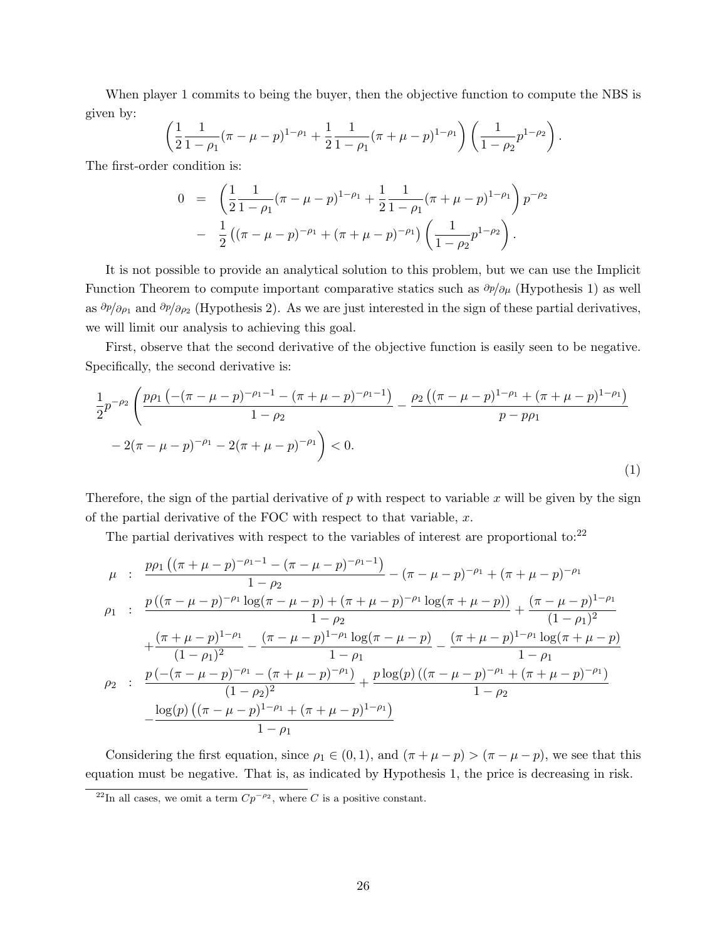When player 1 commits to being the buyer, then the objective function to compute the NBS is given by:

$$
\left(\frac{1}{2}\frac{1}{1-\rho_1}(\pi-\mu-p)^{1-\rho_1}+\frac{1}{2}\frac{1}{1-\rho_1}(\pi+\mu-p)^{1-\rho_1}\right)\left(\frac{1}{1-\rho_2}p^{1-\rho_2}\right).
$$

The first-order condition is:

$$
0 = \left(\frac{1}{2}\frac{1}{1-\rho_1}(\pi-\mu-p)^{1-\rho_1} + \frac{1}{2}\frac{1}{1-\rho_1}(\pi+\mu-p)^{1-\rho_1}\right)p^{-\rho_2}
$$

$$
- \frac{1}{2}\left((\pi-\mu-p)^{-\rho_1} + (\pi+\mu-p)^{-\rho_1}\right)\left(\frac{1}{1-\rho_2}p^{1-\rho_2}\right).
$$

It is not possible to provide an analytical solution to this problem, but we can use the Implicit Function Theorem to compute important comparative statics such as  $\partial p/\partial \mu$  (Hypothesis 1) as well as  $\partial p/\partial \rho_1$  and  $\partial p/\partial \rho_2$  (Hypothesis 2). As we are just interested in the sign of these partial derivatives, we will limit our analysis to achieving this goal.

First, observe that the second derivative of the objective function is easily seen to be negative. Specifically, the second derivative is:

$$
\frac{1}{2}p^{-\rho_2}\left(\frac{p\rho_1\left(-(\pi-\mu-p)^{-\rho_1-1}-(\pi+\mu-p)^{-\rho_1-1}\right)}{1-\rho_2}-\frac{\rho_2\left((\pi-\mu-p)^{1-\rho_1}+(\pi+\mu-p)^{1-\rho_1}\right)}{p-p\rho_1}\right) - 2(\pi-\mu-p)^{-\rho_1}-2(\pi+\mu-p)^{-\rho_1}\right) < 0.
$$
\n(1)

Therefore, the sign of the partial derivative of  $p$  with respect to variable  $x$  will be given by the sign of the partial derivative of the FOC with respect to that variable,  $x$ .

The partial derivatives with respect to the variables of interest are proportional to:<sup>22</sup>

$$
\mu : \frac{p\rho_1\left((\pi+\mu-p)^{-\rho_1-1}-(\pi-\mu-p)^{-\rho_1-1}\right)}{1-\rho_2} - (\pi-\mu-p)^{-\rho_1} + (\pi+\mu-p)^{-\rho_1}
$$
\n
$$
\rho_1 : \frac{p\left((\pi-\mu-p)^{-\rho_1}\log(\pi-\mu-p) + (\pi+\mu-p)^{-\rho_1}\log(\pi+\mu-p)\right)}{1-\rho_2} + \frac{(\pi+\mu-p)^{1-\rho_1}}{(1-\rho_1)^2} - \frac{(\pi-\mu-p)^{1-\rho_1}\log(\pi-\mu-p)}{1-\rho_1} - \frac{(\pi+\mu-p)^{1-\rho_1}\log(\pi+\mu-p)}{1-\rho_1}
$$
\n
$$
\rho_2 : \frac{p\left((\pi-\mu-p)^{-\rho_1}-(\pi+\mu-p)^{-\rho_1}\right)}{(1-\rho_2)^2} + \frac{p\log(p)\left((\pi-\mu-p)^{-\rho_1}+(\pi+\mu-p)^{-\rho_1}\right)}{1-\rho_2}
$$
\n
$$
-\frac{\log(p)\left((\pi-\mu-p)^{1-\rho_1}+(\pi+\mu-p)^{1-\rho_1}\right)}{1-\rho_1}
$$

Considering the first equation, since  $\rho_1 \in (0,1)$ , and  $(\pi + \mu - p) > (\pi - \mu - p)$ , we see that this equation must be negative. That is, as indicated by Hypothesis 1, the price is decreasing in risk.

<sup>&</sup>lt;sup>22</sup>In all cases, we omit a term  $Cp^{-\rho_2}$ , where C is a positive constant.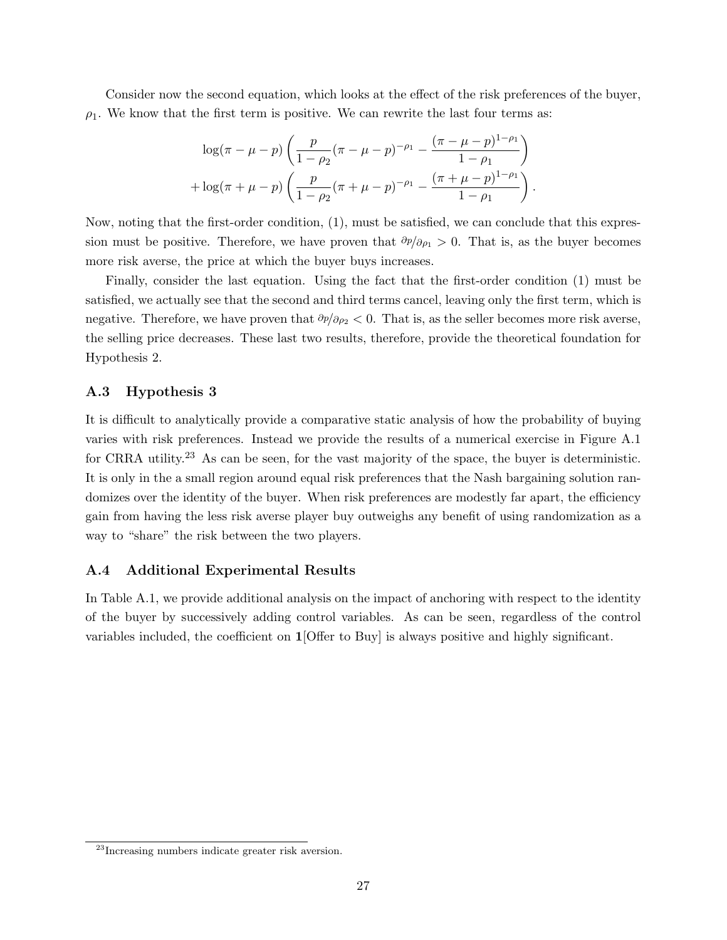Consider now the second equation, which looks at the effect of the risk preferences of the buyer,  $\rho_1$ . We know that the first term is positive. We can rewrite the last four terms as:

$$
\log(\pi - \mu - p) \left( \frac{p}{1 - \rho_2} (\pi - \mu - p)^{-\rho_1} - \frac{(\pi - \mu - p)^{1 - \rho_1}}{1 - \rho_1} \right) + \log(\pi + \mu - p) \left( \frac{p}{1 - \rho_2} (\pi + \mu - p)^{-\rho_1} - \frac{(\pi + \mu - p)^{1 - \rho_1}}{1 - \rho_1} \right).
$$

Now, noting that the first-order condition, (1), must be satisfied, we can conclude that this expression must be positive. Therefore, we have proven that  $\partial p/\partial \rho_1 > 0$ . That is, as the buyer becomes more risk averse, the price at which the buyer buys increases.

Finally, consider the last equation. Using the fact that the first-order condition (1) must be satisfied, we actually see that the second and third terms cancel, leaving only the first term, which is negative. Therefore, we have proven that  $\partial p/\partial \rho_2 < 0$ . That is, as the seller becomes more risk averse, the selling price decreases. These last two results, therefore, provide the theoretical foundation for Hypothesis 2.

### A.3 Hypothesis 3

It is difficult to analytically provide a comparative static analysis of how the probability of buying varies with risk preferences. Instead we provide the results of a numerical exercise in Figure A.1 for CRRA utility.<sup>23</sup> As can be seen, for the vast majority of the space, the buyer is deterministic. It is only in the a small region around equal risk preferences that the Nash bargaining solution randomizes over the identity of the buyer. When risk preferences are modestly far apart, the efficiency gain from having the less risk averse player buy outweighs any benefit of using randomization as a way to "share" the risk between the two players.

### A.4 Additional Experimental Results

In Table A.1, we provide additional analysis on the impact of anchoring with respect to the identity of the buyer by successively adding control variables. As can be seen, regardless of the control variables included, the coefficient on 1[Offer to Buy] is always positive and highly significant.

<sup>23</sup>Increasing numbers indicate greater risk aversion.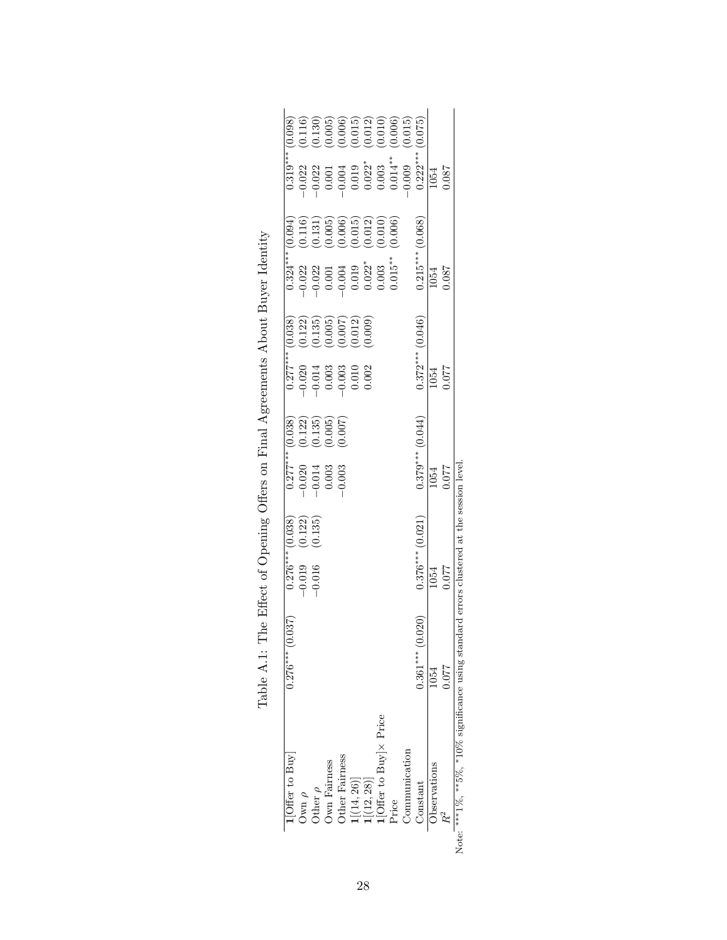| [Offer to Buy]                                                                                                          | 037<br>$0.276***$ (0.0)             | 0.038)                                                                                | 0.038                                                                                                                                                | 0.038                                                                                         | 0.094<br>$0.324***$                                                                                                                                                                                                                            |                                                                                                                                                                                                                                                                                                                                                                               |
|-------------------------------------------------------------------------------------------------------------------------|-------------------------------------|---------------------------------------------------------------------------------------|------------------------------------------------------------------------------------------------------------------------------------------------------|-----------------------------------------------------------------------------------------------|------------------------------------------------------------------------------------------------------------------------------------------------------------------------------------------------------------------------------------------------|-------------------------------------------------------------------------------------------------------------------------------------------------------------------------------------------------------------------------------------------------------------------------------------------------------------------------------------------------------------------------------|
| Own $\rho$                                                                                                              |                                     |                                                                                       |                                                                                                                                                      |                                                                                               |                                                                                                                                                                                                                                                |                                                                                                                                                                                                                                                                                                                                                                               |
| )<br>ther $\rho$                                                                                                        |                                     | $(0.122)$<br>$(0.135)$<br>$\begin{array}{c} 0.276*** \\ -0.019 \\ -0.016 \end{array}$ |                                                                                                                                                      |                                                                                               |                                                                                                                                                                                                                                                |                                                                                                                                                                                                                                                                                                                                                                               |
| <b>Own Fairness</b>                                                                                                     |                                     |                                                                                       | $\begin{array}{c} (0.122)\\ (0.135)\\ (0.005)\\ (0.007) \end{array}$<br>$\begin{array}{r} 0.277**\\ -0.020\\ -0.014\\ -0.003\\ -0.003\\ \end{array}$ | $\begin{array}{c} (0.122) \\ (0.135) \\ (0.005) \\ (0.007) \\ (0.012) \\ (0.009) \end{array}$ | $\begin{array}{l} (0.116)\\ (0.131)\\ (0.005)\\ (0.006)\\ (0.011)\\ (0.012)\\ (0.010)\\ (0.010)\\ (0.006) \end{array}$<br>$-0.022$<br>$-0.021$<br>$-0.001$<br>$-0.004$<br>$-0.003$<br>$-0.003$<br>$-0.003$<br>$-0.003$<br>$-0.001$<br>$-0.003$ | $\begin{array}{l} (0.116) \ (0.130) \ (0.005) \ (0.006) \ (0.011) \ (0.012) \ (0.010) \ (0.010) \ (0.006) \ (0.015) \ (0.015) \end{array}$                                                                                                                                                                                                                                    |
| Other Fairness                                                                                                          |                                     |                                                                                       |                                                                                                                                                      |                                                                                               |                                                                                                                                                                                                                                                |                                                                                                                                                                                                                                                                                                                                                                               |
| $\frac{1[(14, 26)]}{1[(12, 28)]}$<br>$\frac{1[(12, 28)]}{1[ {{\rm{Offer}}~{\rm{ to}}~{\rm{Buy}}}] \times {\rm{Price}}}$ |                                     |                                                                                       |                                                                                                                                                      |                                                                                               |                                                                                                                                                                                                                                                |                                                                                                                                                                                                                                                                                                                                                                               |
|                                                                                                                         |                                     |                                                                                       |                                                                                                                                                      |                                                                                               |                                                                                                                                                                                                                                                |                                                                                                                                                                                                                                                                                                                                                                               |
|                                                                                                                         |                                     |                                                                                       |                                                                                                                                                      |                                                                                               |                                                                                                                                                                                                                                                |                                                                                                                                                                                                                                                                                                                                                                               |
| Price                                                                                                                   |                                     |                                                                                       |                                                                                                                                                      |                                                                                               |                                                                                                                                                                                                                                                | $\begin{array}{l} \text{13.3}\ \text{13.3}\ \text{24.4}\ \text{35.5}\ \text{46.5}\ \text{57.6}\ \text{68.6}\ \text{79.6}\ \text{79.6}\ \text{80.6}\ \text{99.6}\ \text{10.6}\ \text{13.6}\ \text{14.6}\ \text{15.6}\ \text{16.6}\ \text{17.6}\ \text{18.6}\ \text{19.6}\ \text{19.6}\ \text{19.6}\ \text{19.6}\ \text{19.6}\ \text{19.6}\ \text{19.6}\ \text{19.6}\ \text{19$ |
| <b>Communication</b>                                                                                                    |                                     |                                                                                       |                                                                                                                                                      |                                                                                               |                                                                                                                                                                                                                                                |                                                                                                                                                                                                                                                                                                                                                                               |
| Constant                                                                                                                | $\overline{20}$<br>$0.361***$ (0.0) | $0.376***$ (0.021)                                                                    | (0.044)<br>$0.379***$                                                                                                                                | (0.046)<br>$0.372***$                                                                         | (0.068)<br>$0.215***$                                                                                                                                                                                                                          | (0.075)                                                                                                                                                                                                                                                                                                                                                                       |
| <b>Jbservations</b>                                                                                                     | 1054                                | $\frac{1054}{ }$                                                                      | $\frac{1054}{1054}$                                                                                                                                  | $\overline{1054}$                                                                             | $\frac{1054}{1054}$                                                                                                                                                                                                                            | 1054                                                                                                                                                                                                                                                                                                                                                                          |
|                                                                                                                         | 1.077                               | 1.077                                                                                 |                                                                                                                                                      | 1.077                                                                                         |                                                                                                                                                                                                                                                | 1.087                                                                                                                                                                                                                                                                                                                                                                         |

| י<br>ו<br>֖֖֖֖֖֖֧ׅ֖ׅ֖֖֚֚֚֚֚֚֚֚֚֚֚֚֚֚֚֚֚֚֚֚֚֚֡֝֝֬֝֬<br>֧֧֧֧֧֧ׅ֧֛֛֛֚֚֚֚֚֚֚֚֚֚֚֚֚֚֚֚֚֚֚֚֚֚֚֚֚֚֬֡֓֕֩֩֓֡֟֓֡֜֩֓֓֡֓֞֡֜֓֜֜<br>I<br>l |
|------------------------------------------------------------------------------------------------------------------------------|
| ſ<br>j                                                                                                                       |
|                                                                                                                              |
| J<br>֕<br>l                                                                                                                  |
| i<br>Si<br>j                                                                                                                 |
| )<br>)<br> }<br>.<br>.<br>.<br>.<br>è<br>(                                                                                   |
| ١<br>i<br>י<br>י<br>ı                                                                                                        |
| أ<br>أ<br>į                                                                                                                  |
| ֚֚֚֚֚֡<br>֧֧֧֧֧֧֧֧֧֧֧ׅ֧֧֧֧ׅ֚֡֜֡֡֡֡֡֡֡֡֡֡֡֟֩֩<br>i<br>İ                                                                       |
| l<br>$\ddot{\phantom{0}}$<br>י<br>גול<br>'<br> }<br>ì                                                                        |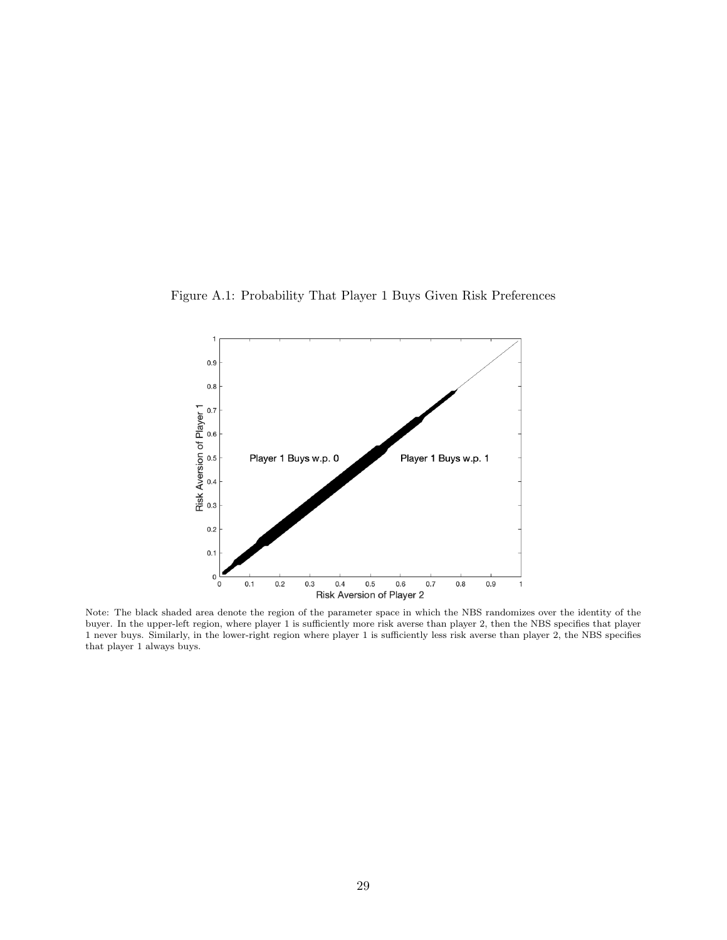Figure A.1: Probability That Player 1 Buys Given Risk Preferences



Note: The black shaded area denote the region of the parameter space in which the NBS randomizes over the identity of the buyer. In the upper-left region, where player 1 is sufficiently more risk averse than player 2, then the NBS specifies that player 1 never buys. Similarly, in the lower-right region where player 1 is sufficiently less risk averse than player 2, the NBS specifies that player 1 always buys.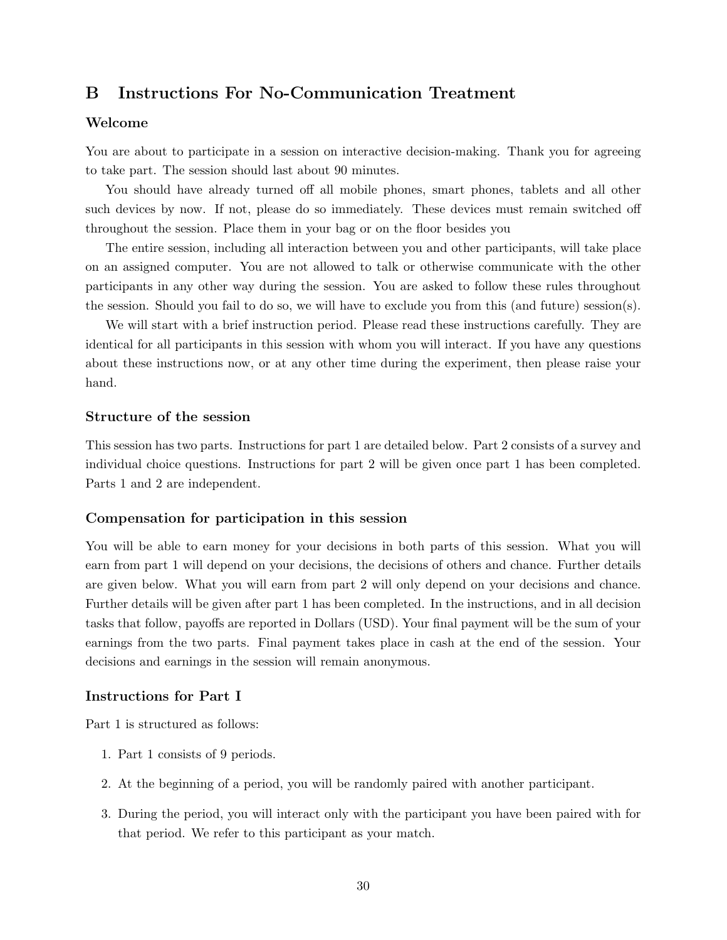# B Instructions For No-Communication Treatment

### Welcome

You are about to participate in a session on interactive decision-making. Thank you for agreeing to take part. The session should last about 90 minutes.

You should have already turned off all mobile phones, smart phones, tablets and all other such devices by now. If not, please do so immediately. These devices must remain switched off throughout the session. Place them in your bag or on the floor besides you

The entire session, including all interaction between you and other participants, will take place on an assigned computer. You are not allowed to talk or otherwise communicate with the other participants in any other way during the session. You are asked to follow these rules throughout the session. Should you fail to do so, we will have to exclude you from this (and future) session(s).

We will start with a brief instruction period. Please read these instructions carefully. They are identical for all participants in this session with whom you will interact. If you have any questions about these instructions now, or at any other time during the experiment, then please raise your hand.

## Structure of the session

This session has two parts. Instructions for part 1 are detailed below. Part 2 consists of a survey and individual choice questions. Instructions for part 2 will be given once part 1 has been completed. Parts 1 and 2 are independent.

### Compensation for participation in this session

You will be able to earn money for your decisions in both parts of this session. What you will earn from part 1 will depend on your decisions, the decisions of others and chance. Further details are given below. What you will earn from part 2 will only depend on your decisions and chance. Further details will be given after part 1 has been completed. In the instructions, and in all decision tasks that follow, payoffs are reported in Dollars (USD). Your final payment will be the sum of your earnings from the two parts. Final payment takes place in cash at the end of the session. Your decisions and earnings in the session will remain anonymous.

### Instructions for Part I

Part 1 is structured as follows:

- 1. Part 1 consists of 9 periods.
- 2. At the beginning of a period, you will be randomly paired with another participant.
- 3. During the period, you will interact only with the participant you have been paired with for that period. We refer to this participant as your match.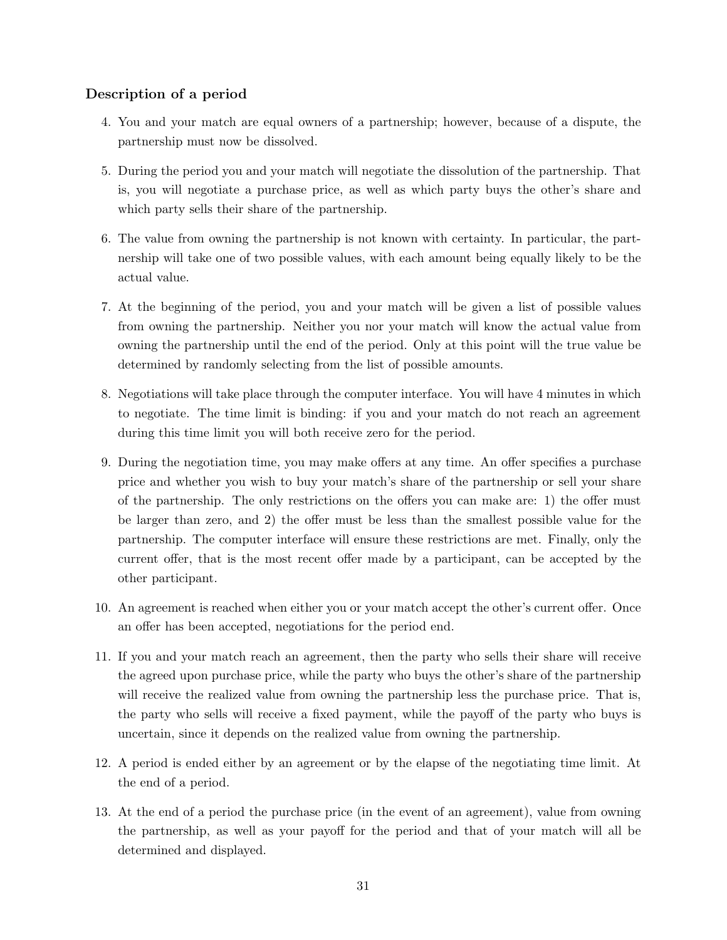## Description of a period

- 4. You and your match are equal owners of a partnership; however, because of a dispute, the partnership must now be dissolved.
- 5. During the period you and your match will negotiate the dissolution of the partnership. That is, you will negotiate a purchase price, as well as which party buys the other's share and which party sells their share of the partnership.
- 6. The value from owning the partnership is not known with certainty. In particular, the partnership will take one of two possible values, with each amount being equally likely to be the actual value.
- 7. At the beginning of the period, you and your match will be given a list of possible values from owning the partnership. Neither you nor your match will know the actual value from owning the partnership until the end of the period. Only at this point will the true value be determined by randomly selecting from the list of possible amounts.
- 8. Negotiations will take place through the computer interface. You will have 4 minutes in which to negotiate. The time limit is binding: if you and your match do not reach an agreement during this time limit you will both receive zero for the period.
- 9. During the negotiation time, you may make offers at any time. An offer specifies a purchase price and whether you wish to buy your match's share of the partnership or sell your share of the partnership. The only restrictions on the offers you can make are: 1) the offer must be larger than zero, and 2) the offer must be less than the smallest possible value for the partnership. The computer interface will ensure these restrictions are met. Finally, only the current offer, that is the most recent offer made by a participant, can be accepted by the other participant.
- 10. An agreement is reached when either you or your match accept the other's current offer. Once an offer has been accepted, negotiations for the period end.
- 11. If you and your match reach an agreement, then the party who sells their share will receive the agreed upon purchase price, while the party who buys the other's share of the partnership will receive the realized value from owning the partnership less the purchase price. That is, the party who sells will receive a fixed payment, while the payoff of the party who buys is uncertain, since it depends on the realized value from owning the partnership.
- 12. A period is ended either by an agreement or by the elapse of the negotiating time limit. At the end of a period.
- 13. At the end of a period the purchase price (in the event of an agreement), value from owning the partnership, as well as your payoff for the period and that of your match will all be determined and displayed.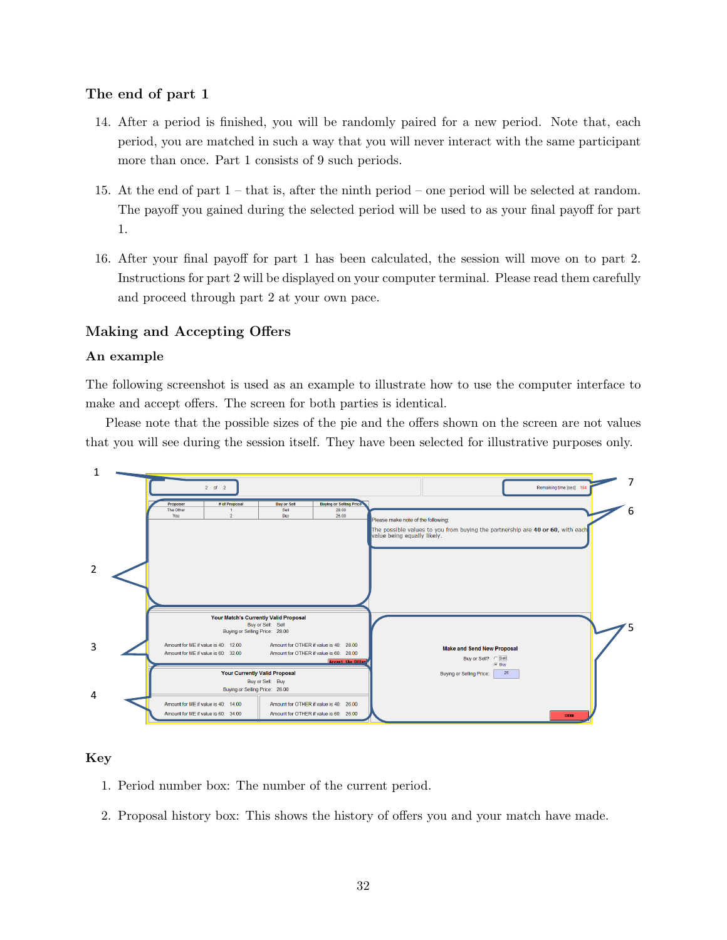## The end of part 1

- 14. After a period is finished, you will be randomly paired for a new period. Note that, each period, you are matched in such a way that you will never interact with the same participant more than once. Part 1 consists of 9 such periods.
- 15. At the end of part 1 that is, after the ninth period one period will be selected at random. The payoff you gained during the selected period will be used to as your final payoff for part 1.
- 16. After your final payoff for part 1 has been calculated, the session will move on to part 2. Instructions for part 2 will be displayed on your computer terminal. Please read them carefully  $\frac{1}{2}$  and proceed through part 2 at your own pace.

# Making and Accepting Offers

#### An example  $\mathbf{r}$  is an example of use  $\mathbf{r}$  interface  $\mathbf{r}$

The following screenshot is used as an example to illustrate how to use the computer interface to make and accept offers. The screen for both parties is identical.

Please note that the possible sizes of the pie and the offers shown on the screen are not values that you will see during the session itself. They have been selected for illustrative purposes only.



## Key

- 1. Period number box: The number of the current period.
- $\overline{X}$ 2. Proposal history box: This shows the history of offers you and your match have made.